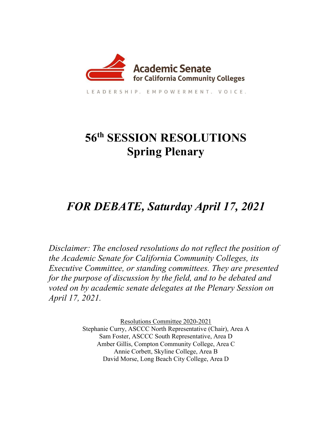

LEADERSHIP, EMPOWERMENT, VOICE,

## **56th SESSION RESOLUTIONS Spring Plenary**

## *FOR DEBATE, Saturday April 17, 2021*

*Disclaimer: The enclosed resolutions do not reflect the position of the Academic Senate for California Community Colleges, its Executive Committee, or standing committees. They are presented for the purpose of discussion by the field, and to be debated and voted on by academic senate delegates at the Plenary Session on April 17, 2021.*

> Resolutions Committee 2020-2021 Stephanie Curry, ASCCC North Representative (Chair), Area A Sam Foster, ASCCC South Representative, Area D Amber Gillis, Compton Community College, Area C Annie Corbett, Skyline College, Area B David Morse, Long Beach City College, Area D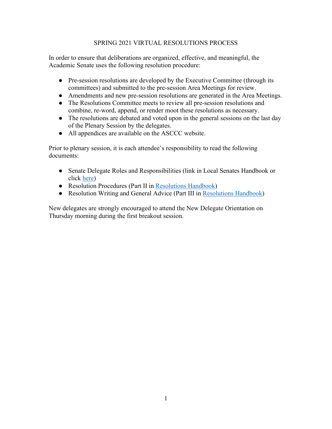#### SPRING 2021 VIRTUAL RESOLUTIONS PROCESS

In order to ensure that deliberations are organized, effective, and meaningful, the Academic Senate uses the following resolution procedure:

- Pre-session resolutions are developed by the Executive Committee (through its committees) and submitted to the pre-session Area Meetings for review.
- Amendments and new pre-session resolutions are generated in the Area Meetings.
- The Resolutions Committee meets to review all pre-session resolutions and combine, re-word, append, or render moot these resolutions as necessary.
- The resolutions are debated and voted upon in the general sessions on the last day of the Plenary Session by the delegates.
- All appendices are available on the ASCCC website.

Prior to plenary session, it is each attendee's responsibility to read the following documents:

- Senate Delegate Roles and Responsibilities (link in Local Senates Handbook or click [here\)](http://asccc.org/sites/default/files/DelRolesRespon09.pdf)
- Resolution Procedures (Part II in [Resolutions Handbook\)](https://www.asccc.org/sites/default/files/ResolutionHandbookFinalFA17_1.pdf)
- Resolution Writing and General Advice (Part III in [Resolutions Handbook\)](https://www.asccc.org/sites/default/files/ResolutionHandbookFinalFA17_1.pdf)

New delegates are strongly encouraged to attend the New Delegate Orientation on Thursday morning during the first breakout session.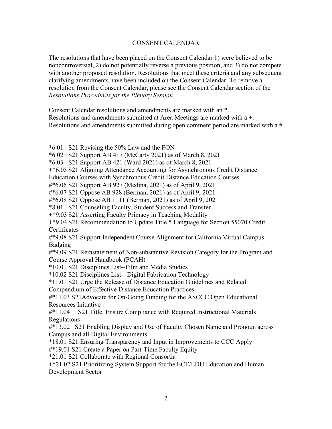#### CONSENT CALENDAR

The resolutions that have been placed on the Consent Calendar 1) were believed to be noncontroversial, 2) do not potentially reverse a previous position, and 3) do not compete with another proposed resolution. Resolutions that meet these criteria and any subsequent clarifying amendments have been included on the Consent Calendar. To remove a resolution from the Consent Calendar, please see the Consent Calendar section of the *Resolutions Procedures for the Plenary Session*.

Consent Calendar resolutions and amendments are marked with an \*. Resolutions and amendments submitted at Area Meetings are marked with a +. Resolutions and amendments submitted during open comment period are marked with a #

\*6.01 S21 Revising the 50% Law and the FON

\*6.02 S21 Support AB 417 (McCarty 2021) as of March 8, 2021

\*6.03 S21 Support AB 421 (Ward 2021) as of March 8, 2021

+\*6.05 S21 Aligning Attendance Accounting for Asynchronous Credit Distance

Education Courses with Synchronous Credit Distance Education Courses

#\*6.06 S21 Support AB 927 (Medina, 2021) as of April 9, 2021

#\*6.07 S21 Oppose AB 928 (Berman, 2021) as of April 9, 2021

#\*6.08 S21 Oppose AB 1111 (Berman, 2021) as of April 9, 2021

\*8.01 S21 Counseling Faculty, Student Success and Transfer

+\*9.03 S21 Asserting Faculty Primacy in Teaching Modality

+\*9.04 S21 Recommendation to Update Title 5 Language for Section 55070 Credit **Certificates** 

#\*9.08 S21 Support Independent Course Alignment for California Virtual Campus Badging

#\*9.09 S21 Reinstatement of Non-substantive Revision Category for the Program and Course Approval Handbook (PCAH)

\*10.01 S21 Disciplines List--Film and Media Studies

\*10.02 S21 Disciplines List-- Digital Fabrication Technology

\*11.01 S21 Urge the Release of Distance Education Guidelines and Related

Compendium of Effective Distance Education Practices

#\*11.03 S21Advocate for On-Going Funding for the ASCCC Open Educational Resources Initiative

#\*11.04 S21 Title: Ensure Compliance with Required Instructional Materials Regulations

#\*13.02 S21 Enabling Display and Use of Faculty Chosen Name and Pronoun across Campus and all Digital Environments

\*18.01 S21 Ensuring Transparency and Input in Improvements to CCC Apply

#\*19.01 S21 Create a Paper on Part-Time Faculty Equity

\*21.01 S21 Collaborate with Regional Consortia

+\*21.02 S21 Prioritizing System Support for the ECE/EDU Education and Human Development Sector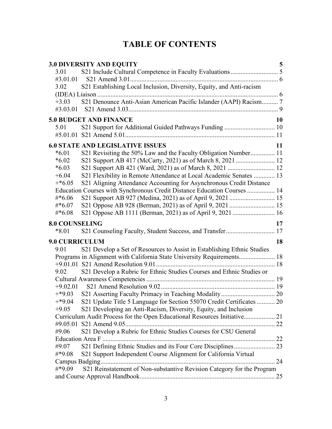### **TABLE OF CONTENTS**

|                                  | <b>3.0 DIVERSITY AND EQUITY</b>                                           | 5  |
|----------------------------------|---------------------------------------------------------------------------|----|
| 3.01                             |                                                                           |    |
| #3.01.01                         |                                                                           |    |
| 3.02                             | S21 Establishing Local Inclusion, Diversity, Equity, and Anti-racism      |    |
|                                  |                                                                           |    |
| $+3.03$<br>#3.03.01              | S21 Denounce Anti-Asian American Pacific Islander (AAPI) Racism 7         |    |
|                                  | <b>5.0 BUDGET AND FINANCE</b>                                             | 10 |
| 5.01                             |                                                                           |    |
|                                  |                                                                           |    |
|                                  | <b>6.0 STATE AND LEGISLATIVE ISSUES</b><br>11                             |    |
| $*6.01$                          | S21 Revisiting the 50% Law and the Faculty Obligation Number 11           |    |
| $*6.02$                          |                                                                           |    |
| $*6.03$                          |                                                                           |    |
| $+6.04$                          | S21 Flexibility in Remote Attendance at Local Academic Senates  13        |    |
| $+*6.05$                         | S21 Aligning Attendance Accounting for Asynchronous Credit Distance       |    |
|                                  | Education Courses with Synchronous Credit Distance Education Courses  14  |    |
| $\#*6.06$                        |                                                                           |    |
| $\#*6.07$                        |                                                                           |    |
| $\#*6.08$                        |                                                                           |    |
|                                  |                                                                           |    |
|                                  |                                                                           |    |
| <b>8.0 COUNSELING</b><br>$*8.01$ | S21 Counseling Faculty, Student Success, and Transfer 17                  | 17 |
|                                  |                                                                           |    |
| <b>9.0 CURRICULUM</b>            |                                                                           | 18 |
| 9.01                             | S21 Develop a Set of Resources to Assist in Establishing Ethnic Studies   |    |
|                                  | Programs in Alignment with California State University Requirements 18    |    |
| 9.02                             |                                                                           |    |
|                                  | S21 Develop a Rubric for Ethnic Studies Courses and Ethnic Studies or     |    |
| $+9.02.01$                       |                                                                           |    |
| $+*9.03$                         |                                                                           |    |
| $+*9.04$                         | S21 Update Title 5 Language for Section 55070 Credit Certificates  20     |    |
| $+9.05$                          | S21 Developing an Anti-Racism, Diversity, Equity, and Inclusion           |    |
|                                  | Curriculum Audit Process for the Open Educational Resources Initiative 21 |    |
|                                  |                                                                           |    |
| #9.06                            | S21 Develop a Rubric for Ethnic Studies Courses for CSU General           |    |
|                                  |                                                                           |    |
| #9.07                            |                                                                           |    |
| #*9.08                           | S21 Support Independent Course Alignment for California Virtual           |    |
|                                  |                                                                           |    |
| #*9.09                           | S21 Reinstatement of Non-substantive Revision Category for the Program    |    |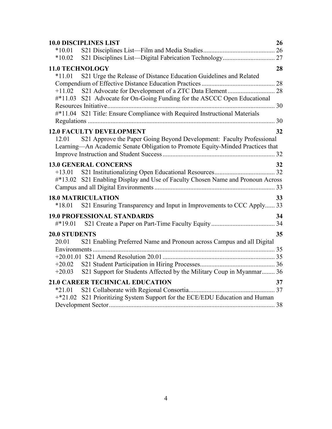| $*10.01$                                                                                                     |
|--------------------------------------------------------------------------------------------------------------|
|                                                                                                              |
| $*10.02$                                                                                                     |
| <b>11.0 TECHNOLOGY</b><br>28                                                                                 |
| S21 Urge the Release of Distance Education Guidelines and Related<br>$*11.01$                                |
|                                                                                                              |
| $+11.02$                                                                                                     |
| #*11.03 S21 Advocate for On-Going Funding for the ASCCC Open Educational                                     |
|                                                                                                              |
| #*11.04 S21 Title: Ensure Compliance with Required Instructional Materials                                   |
|                                                                                                              |
| <b>12.0 FACULTY DEVELOPMENT</b><br>32                                                                        |
| S21 Approve the Paper Going Beyond Development: Faculty Professional<br>12.01                                |
| Learning—An Academic Senate Obligation to Promote Equity-Minded Practices that                               |
|                                                                                                              |
| <b>13.0 GENERAL CONCERNS</b><br>32                                                                           |
| $+13.01$                                                                                                     |
| #*13.02 S21 Enabling Display and Use of Faculty Chosen Name and Pronoun Across                               |
|                                                                                                              |
| <b>18.0 MATRICULATION</b><br>33                                                                              |
| S21 Ensuring Transparency and Input in Improvements to CCC Apply 33<br>$*18.01$                              |
| <b>19.0 PROFESSIONAL STANDARDS</b><br>34                                                                     |
| #*19.01                                                                                                      |
|                                                                                                              |
| 35<br><b>20.0 STUDENTS</b><br>S21 Enabling Preferred Name and Pronoun across Campus and all Digital<br>20.01 |
|                                                                                                              |
|                                                                                                              |
| $+20.02$                                                                                                     |
| S21 Support for Students Affected by the Military Coup in Myanmar 36<br>$+20.03$                             |
| <b>21.0 CAREER TECHNICAL EDUCATION</b><br>37                                                                 |
| $*21.01$                                                                                                     |
| S21 Prioritizing System Support for the ECE/EDU Education and Human<br>$+*21.02$                             |
|                                                                                                              |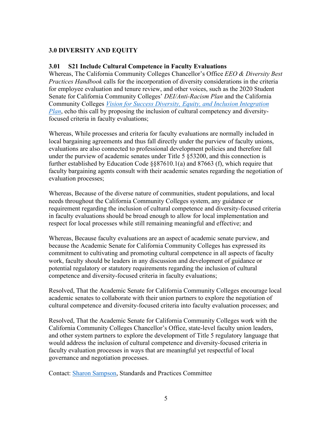#### <span id="page-5-0"></span>**3.0 DIVERSITY AND EQUITY**

#### <span id="page-5-1"></span>**3.01 S21 Include Cultural Competence in Faculty Evaluations**

Whereas, The California Community Colleges Chancellor's Office *EEO & Diversity Best Practices Handbook* calls for the incorporation of diversity considerations in the criteria for employee evaluation and tenure review, and other voices, such as the 2020 Student Senate for California Community Colleges' *DEI/Anti-Racism Plan* and the California Community Colleges *[Vision for Success Diversity, Equity, and Inclusion Integration](https://www.cccco.edu/-/media/CCCCO-Website/Files/Communications/vision-for-success/5-dei-integration-plan.pdf?la=en&hash=2402789D82435E8C3E70D3E9E3A8F30F5AB13F1D)  [Plan](https://www.cccco.edu/-/media/CCCCO-Website/Files/Communications/vision-for-success/5-dei-integration-plan.pdf?la=en&hash=2402789D82435E8C3E70D3E9E3A8F30F5AB13F1D)*, echo this call by proposing the inclusion of cultural competency and diversityfocused criteria in faculty evaluations;

Whereas, While processes and criteria for faculty evaluations are normally included in local bargaining agreements and thus fall directly under the purview of faculty unions, evaluations are also connected to professional development policies and therefore fall under the purview of academic senates under Title 5 §53200, and this connection is further established by Education Code §§87610.1(a) and 87663 (f), which require that faculty bargaining agents consult with their academic senates regarding the negotiation of evaluation processes;

Whereas, Because of the diverse nature of communities, student populations, and local needs throughout the California Community Colleges system, any guidance or requirement regarding the inclusion of cultural competence and diversity-focused criteria in faculty evaluations should be broad enough to allow for local implementation and respect for local processes while still remaining meaningful and effective; and

Whereas, Because faculty evaluations are an aspect of academic senate purview, and because the Academic Senate for California Community Colleges has expressed its commitment to cultivating and promoting cultural competence in all aspects of faculty work, faculty should be leaders in any discussion and development of guidance or potential regulatory or statutory requirements regarding the inclusion of cultural competence and diversity-focused criteria in faculty evaluations;

Resolved, That the Academic Senate for California Community Colleges encourage local academic senates to collaborate with their union partners to explore the negotiation of cultural competence and diversity-focused criteria into faculty evaluation processes; and

Resolved, That the Academic Senate for California Community Colleges work with the California Community Colleges Chancellor's Office, state-level faculty union leaders, and other system partners to explore the development of Title 5 regulatory language that would address the inclusion of cultural competence and diversity-focused criteria in faculty evaluation processes in ways that are meaningful yet respectful of local governance and negotiation processes.

Contact: [Sharon Sampson,](mailto:sharon.sampson@gcccd.edu) Standards and Practices Committee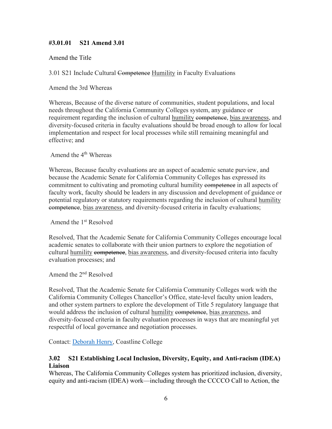#### <span id="page-6-0"></span>**#3.01.01 S21 Amend 3.01**

Amend the Title

3.01 S21 Include Cultural Competence Humility in Faculty Evaluations

Amend the 3rd Whereas

Whereas, Because of the diverse nature of communities, student populations, and local needs throughout the California Community Colleges system, any guidance or requirement regarding the inclusion of cultural humility eompetence, bias awareness, and diversity-focused criteria in faculty evaluations should be broad enough to allow for local implementation and respect for local processes while still remaining meaningful and effective; and

Amend the 4<sup>th</sup> Whereas

Whereas, Because faculty evaluations are an aspect of academic senate purview, and because the Academic Senate for California Community Colleges has expressed its commitment to cultivating and promoting cultural humility eompetence in all aspects of faculty work, faculty should be leaders in any discussion and development of guidance or potential regulatory or statutory requirements regarding the inclusion of cultural humility competence, bias awareness, and diversity-focused criteria in faculty evaluations;

Amend the 1st Resolved

Resolved, That the Academic Senate for California Community Colleges encourage local academic senates to collaborate with their union partners to explore the negotiation of cultural humility competence, bias awareness, and diversity-focused criteria into faculty evaluation processes; and

Amend the 2nd Resolved

Resolved, That the Academic Senate for California Community Colleges work with the California Community Colleges Chancellor's Office, state-level faculty union leaders, and other system partners to explore the development of Title 5 regulatory language that would address the inclusion of cultural humility competence, bias awareness, and diversity-focused criteria in faculty evaluation processes in ways that are meaningful yet respectful of local governance and negotiation processes.

Contact: [Deborah Henry,](mailto:dhenry@coastline.edu) Coastline College

#### <span id="page-6-1"></span>**3.02 S21 Establishing Local Inclusion, Diversity, Equity, and Anti-racism (IDEA) Liaison**

Whereas, The California Community Colleges system has prioritized inclusion, diversity, equity and anti-racism (IDEA) work—including through the CCCCO Call to Action, the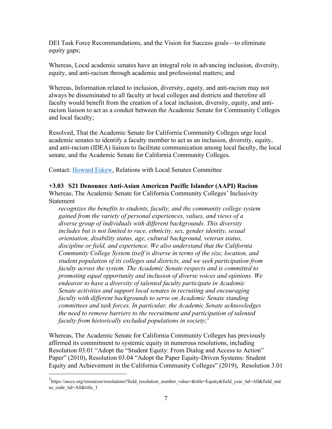DEI Task Force Recommendations, and the Vision for Success goals—to eliminate equity gaps;

Whereas, Local academic senates have an integral role in advancing inclusion, diversity, equity, and anti-racism through academic and professional matters; and

Whereas, Information related to inclusion, diversity, equity, and anti-racism may not always be disseminated to all faculty at local colleges and districts and therefore all faculty would benefit from the creation of a local inclusion, diversity, equity, and antiracism liaison to act as a conduit between the Academic Senate for Community Colleges and local faculty;

Resolved, That the Academic Senate for California Community Colleges urge local academic senates to identify a faculty member to act as an inclusion, diversity, equity, and anti-racism (IDEA) liaison to facilitate communication among local faculty, the local senate, and the Academic Senate for California Community Colleges.

Contact: [Howard Eskew,](mailto:heskew@sdccd.edu) Relations with Local Senates Committee

<span id="page-7-0"></span>**+3.03 S21 Denounce Anti-Asian American Pacific Islander (AAPI) Racism**

Whereas, The Academic Senate for California Community Colleges' Inclusivity Statement

*recognizes the benefits to students, faculty, and the community college system gained from the variety of personal experiences, values, and views of a diverse group of individuals with different backgrounds. This diversity includes but is not limited to race, ethnicity, sex, gender identity, sexual orientation, disability status, age, cultural background, veteran status, discipline or field, and experience. We also understand that the California Community College System itself is diverse in terms of the size, location, and student population of its colleges and districts, and we seek participation from faculty across the system. The Academic Senate respects and is committed to promoting equal opportunity and inclusion of diverse voices and opinions. We endeavor to have a diversity of talented faculty participate in Academic Senate activities and support local senates in recruiting and encouraging faculty with different backgrounds to serve on Academic Senate standing committees and task forces. In particular, the Academic Senate acknowledges the need to remove barriers to the recruitment and participation of talented faculty from historically excluded populations in society*; [1](#page-7-1)

Whereas, The Academic Senate for California Community Colleges has previously affirmed its commitment to systemic equity in numerous resolutions, including Resolution 03.01 "Adopt the "Student Equity: From Dialog and Access to Action" Paper" (2010), Resolution 03.04 "Adopt the Paper Equity-Driven Systems: Student Equity and Achievement in the California Community Colleges" (2019), Resolution 3.01

<span id="page-7-1"></span><sup>1</sup> https://asccc.org/resources/resolutions?field\_resolution\_number\_value=&title=Equity&field\_year\_tid=All&field\_stat us\_code\_tid=All&title\_1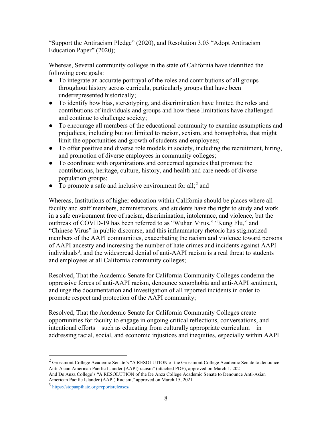"Support the Antiracism Pledge" (2020), and Resolution 3.03 "Adopt Antiracism Education Paper" (2020);

Whereas, Several community colleges in the state of California have identified the following core goals:

- To integrate an accurate portrayal of the roles and contributions of all groups throughout history across curricula, particularly groups that have been underrepresented historically;
- To identify how bias, stereotyping, and discrimination have limited the roles and contributions of individuals and groups and how these limitations have challenged and continue to challenge society;
- To encourage all members of the educational community to examine assumptions and prejudices, including but not limited to racism, sexism, and homophobia, that might limit the opportunities and growth of students and employees;
- To offer positive and diverse role models in society, including the recruitment, hiring, and promotion of diverse employees in community colleges;
- To coordinate with organizations and concerned agencies that promote the contributions, heritage, culture, history, and health and care needs of diverse population groups;
- To promote a safe and inclusive environment for all;<sup>[2](#page-8-0)</sup> and

Whereas, Institutions of higher education within California should be places where all faculty and staff members, administrators, and students have the right to study and work in a safe environment free of racism, discrimination, intolerance, and violence, but the outbreak of COVID-19 has been referred to as "Wuhan Virus," "Kung Flu," and "Chinese Virus" in public discourse, and this inflammatory rhetoric has stigmatized members of the AAPI communities, exacerbating the racism and violence toward persons of AAPI ancestry and increasing the number of hate crimes and incidents against AAPI individuals<sup>[3](#page-8-1)</sup>, and the widespread denial of anti-AAPI racism is a real threat to students and employees at all California community colleges;

Resolved, That the Academic Senate for California Community Colleges condemn the oppressive forces of anti-AAPI racism, denounce xenophobia and anti-AAPI sentiment, and urge the documentation and investigation of all reported incidents in order to promote respect and protection of the AAPI community;

Resolved, That the Academic Senate for California Community Colleges create opportunities for faculty to engage in ongoing critical reflections, conversations, and intentional efforts – such as educating from culturally appropriate curriculum – in addressing racial, social, and economic injustices and inequities, especially within AAPI

<span id="page-8-0"></span><sup>2</sup> Grossmont College Academic Senate's "A RESOLUTION of the Grossmont College Academic Senate to denounce Anti-Asian American Pacific Islander (AAPI) racism" (attached PDF), approved on March 1, 2021 And De Anza College's "A RESOLUTION of the De Anza College Academic Senate to Denounce Anti-Asian American Pacific Islander (AAPI) Racism," approved on March 15, 2021

<span id="page-8-1"></span><sup>3</sup> <https://stopaapihate.org/reportsreleases/>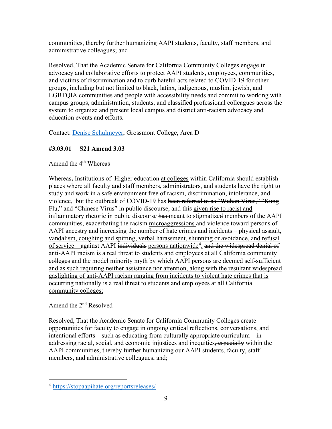communities, thereby further humanizing AAPI students, faculty, staff members, and administrative colleagues; and

Resolved, That the Academic Senate for California Community Colleges engage in advocacy and collaborative efforts to protect AAPI students, employees, communities, and victims of discrimination and to curb hateful acts related to COVID-19 for other groups, including but not limited to black, latinx, indigenous, muslim, jewish, and LGBTQIA communities and people with accessibility needs and commit to working with campus groups, administration, students, and classified professional colleagues across the system to organize and present local campus and district anti-racism advocacy and education events and efforts.

Contact: [Denise Schulmeyer,](mailto:Denise.Schulmeyer@gcccd.edu) Grossmont College, Area D

#### <span id="page-9-0"></span>**#3.03.01 S21 Amend 3.03**

Amend the 4<sup>th</sup> Whereas

Whereas**,** Institutions of Higher education at colleges within California should establish places where all faculty and staff members, administrators, and students have the right to study and work in a safe environment free of racism, discrimination, intolerance, and violence, but the outbreak of COVID-19 has been referred to as "Wuhan Virus," "Kung Flu," and "Chinese Virus" in public discourse, and this given rise to racist and inflammatory rhetoric in public discourse has meant to stigmatized members of the AAPI communities, exacerbating the racism microaggressions and violence toward persons of AAPI ancestry and increasing the number of hate crimes and incidents – physical assault, vandalism, coughing and spitting, verbal harassment, shunning or avoidance, and refusal of service – against AAPI individuals persons nationwide<sup>[4](#page-9-1)</sup>, and the widespread denial of anti-AAPI racism is a real threat to students and employees at all California community colleges and the model minority myth by which AAPI persons are deemed self-sufficient and as such requiring neither assistance nor attention, along with the resultant widespread gaslighting of anti-AAPI racism ranging from incidents to violent hate crimes that is occurring nationally is a real threat to students and employees at all California community colleges;

Amend the 2nd Resolved

Resolved, That the Academic Senate for California Community Colleges create opportunities for faculty to engage in ongoing critical reflections, conversations, and intentional efforts – such as educating from culturally appropriate curriculum – in addressing racial, social, and economic injustices and inequities, especially within the AAPI communities, thereby further humanizing our AAPI students, faculty, staff members, and administrative colleagues, and;

<span id="page-9-1"></span><sup>4</sup> <https://stopaapihate.org/reportsreleases/>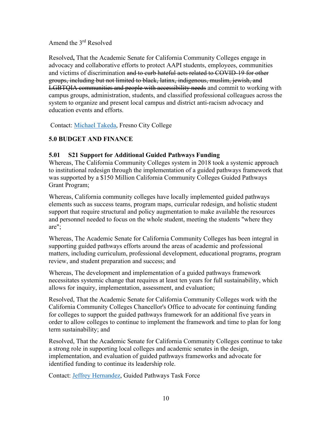Amend the 3rd Resolved

Resolved**,** That the Academic Senate for California Community Colleges engage in advocacy and collaborative efforts to protect AAPI students, employees, communities and victims of discrimination and to curb hateful acts related to COVID-19 for other groups, including but not limited to black, latinx, indigenous, muslim, jewish, and LGBTQIA communities and people with accessibility needs and commit to working with campus groups, administration, students, and classified professional colleagues across the system to organize and present local campus and district anti-racism advocacy and education events and efforts.

Contact: [Michael Takeda,](mailto:michael.takeda@fresnocitycollege.edu) Fresno City College

#### <span id="page-10-0"></span>**5.0 BUDGET AND FINANCE**

#### <span id="page-10-1"></span>**5.01 S21 Support for Additional Guided Pathways Funding**

Whereas, The California Community Colleges system in 2018 took a systemic approach to institutional redesign through the implementation of a guided pathways framework that was supported by a \$150 Million California Community Colleges Guided Pathways Grant Program;

Whereas, California community colleges have locally implemented guided pathways elements such as success teams, program maps, curricular redesign, and holistic student support that require structural and policy augmentation to make available the resources and personnel needed to focus on the whole student, meeting the students "where they are";

Whereas, The Academic Senate for California Community Colleges has been integral in supporting guided pathways efforts around the areas of academic and professional matters, including curriculum, professional development, educational programs, program review, and student preparation and success; and

Whereas, The development and implementation of a guided pathways framework necessitates systemic change that requires at least ten years for full sustainability, which allows for inquiry, implementation, assessment, and evaluation;

Resolved, That the Academic Senate for California Community Colleges work with the California Community Colleges Chancellor's Office to advocate for continuing funding for colleges to support the guided pathways framework for an additional five years in order to allow colleges to continue to implement the framework and time to plan for long term sustainability; and

Resolved, That the Academic Senate for California Community Colleges continue to take a strong role in supporting local colleges and academic senates in the design, implementation, and evaluation of guided pathways frameworks and advocate for identified funding to continue its leadership role.

Contact: [Jeffrey Hernandez,](https://www.asccc.org/directory/jeffrey-hernandez) Guided Pathways Task Force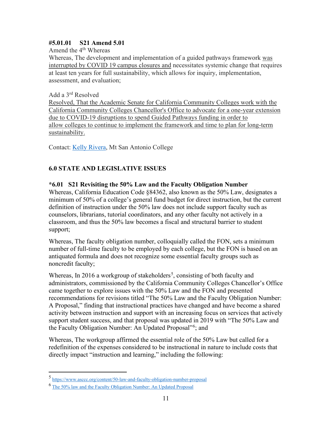#### <span id="page-11-0"></span>**#5.01.01 S21 Amend 5.01**

Amend the  $4<sup>th</sup>$  Whereas

Whereas, The development and implementation of a guided pathways framework was interrupted by COVID 19 campus closures and necessitates systemic change that requires at least ten years for full sustainability, which allows for inquiry, implementation, assessment, and evaluation;

#### Add a 3rd Resolved

Resolved, That the Academic Senate for California Community Colleges work with the California Community Colleges Chancellor's Office to advocate for a one-year extension due to COVID-19 disruptions to spend Guided Pathways funding in order to allow colleges to continue to implement the framework and time to plan for long-term sustainability.

Contact: [Kelly Rivera,](mailto:krivera32@mtsac.edu) Mt San Antonio College

#### <span id="page-11-1"></span>**6.0 STATE AND LEGISLATIVE ISSUES**

#### <span id="page-11-2"></span>**\*6.01 S21 Revisiting the 50% Law and the Faculty Obligation Number**

Whereas, California Education Code §84362, also known as the 50% Law, designates a minimum of 50% of a college's general fund budget for direct instruction, but the current definition of instruction under the 50% law does not include support faculty such as counselors, librarians, tutorial coordinators, and any other faculty not actively in a classroom, and thus the 50% law becomes a fiscal and structural barrier to student support;

Whereas, The faculty obligation number, colloquially called the FON, sets a minimum number of full-time faculty to be employed by each college, but the FON is based on an antiquated formula and does not recognize some essential faculty groups such as noncredit faculty;

Whereas, In 2016 a workgroup of stakeholders<sup>[5](#page-11-3)</sup>, consisting of both faculty and administrators, commissioned by the California Community Colleges Chancellor's Office came together to explore issues with the 50% Law and the FON and presented recommendations for revisions titled "The 50% Law and the Faculty Obligation Number: A Proposal," finding that instructional practices have changed and have become a shared activity between instruction and support with an increasing focus on services that actively support student success, and that proposal was updated in 2019 with "The 50% Law and the Faculty Obligation Number: An Updated Proposal"<sup>[6](#page-11-4)</sup>; and

Whereas, The workgroup affirmed the essential role of the 50% Law but called for a redefinition of the expenses considered to be instructional in nature to include costs that directly impact "instruction and learning," including the following:

<span id="page-11-3"></span><sup>5</sup> <https://www.asccc.org/content/50-law-and-faculty-obligation-number-proposal>

<span id="page-11-4"></span><sup>6</sup> [The 50% law and the Faculty Obligation Number: An Updated Proposal](https://ccccio.org/ccccio/wp-content/uploads/2019/04/1a.-50-Law-and-FON-Updated-Proposal-Final-03-26-19.pdf#:%7E:text=AN%20UPDATED%20PROPOSAL%20The%20Workgroup%20on%20CCC%20Regulations,a%20collection%20of%20both%20specific%20and%20general%20recommendations.)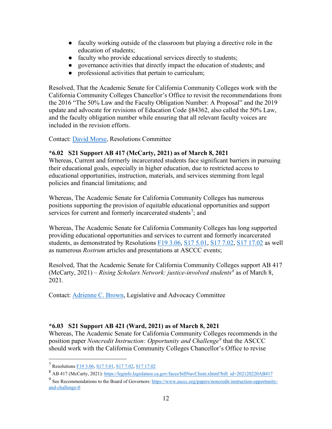- faculty working outside of the classroom but playing a directive role in the education of students;
- faculty who provide educational services directly to students;
- governance activities that directly impact the education of students; and
- professional activities that pertain to curriculum;

Resolved, That the Academic Senate for California Community Colleges work with the California Community Colleges Chancellor's Office to revisit the recommendations from the 2016 "The 50% Law and the Faculty Obligation Number: A Proposal" and the 2019 update and advocate for revisions of Education Code §84362, also called the 50% Law, and the faculty obligation number while ensuring that all relevant faculty voices are included in the revision efforts.

Contact: [David Morse,](mailto:dmorse@barstow.edu) Resolutions Committee

#### <span id="page-12-0"></span>**\*6.02 S21 Support AB 417 (McCarty, 2021) as of March 8, 2021**

Whereas, Current and formerly incarcerated students face significant barriers in pursuing their educational goals, especially in higher education, due to restricted access to educational opportunities, instruction, materials, and services stemming from legal policies and financial limitations; and

Whereas, The Academic Senate for California Community Colleges has numerous positions supporting the provision of equitable educational opportunities and support services for current and formerly incarcerated students<sup>[7](#page-12-2)</sup>; and

Whereas, The Academic Senate for California Community Colleges has long supported providing educational opportunities and services to current and formerly incarcerated students, as demonstrated by Resolutions  $F19$  3.06,  $S17$  5.01,  $S17$  7.02,  $S17$  17.02 as well as numerous *Rostrum* articles and presentations at ASCCC events;

Resolved, That the Academic Senate for California Community Colleges support AB 417 (McCarty, 2021) – *Rising Scholars Network: justice-involved students[8](#page-12-3)* as of March 8, 2021.

Contact: [Adrienne C. Brown,](mailto:BROWNAC2@LAHC.EDU) Legislative and Advocacy Committee

#### <span id="page-12-1"></span>**\*6.03 S21 Support AB 421 (Ward, 2021) as of March 8, 2021**

Whereas, The Academic Senate for California Community Colleges recommends in the position paper *Noncredit Instruction: Opportunity and Challenge[9](#page-12-4)* that the ASCCC should work with the California Community Colleges Chancellor's Office to revise

<span id="page-12-2"></span><sup>7</sup> Resolutions [F19 3.06,](https://www.asccc.org/resolutions/include-currently-and-formerly-incarcerated-youth-equity-plans) [S17 5.01,](https://www.asccc.org/resolutions/sustainable-funding-inmate-education-programs-0) [S17 7.02,](https://www.asccc.org/resolutions/online-training-college-staff-support-formerly-incarcerated-students-0) [S17 17.02](https://www.asccc.org/resolutions/adequate-support-and-designated-point-person-formerly-incarcerated-students-0)

<span id="page-12-3"></span><sup>8</sup> AB 417 (McCarty, 2021): [https://leginfo.legislature.ca.gov/faces/billNavClient.xhtml?bill\\_id=202120220AB417](https://leginfo.legislature.ca.gov/faces/billNavClient.xhtml?bill_id=202120220AB417)

<span id="page-12-4"></span> $9$  See Recommendations to the Board of Governors: [https://www.asccc.org/papers/noncredit-instruction-opportunity](https://www.asccc.org/papers/noncredit-instruction-opportunity-and-challenge-0)[and-challenge-0](https://www.asccc.org/papers/noncredit-instruction-opportunity-and-challenge-0)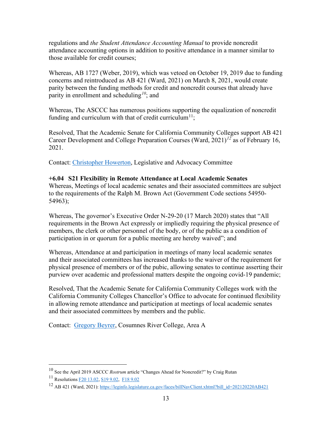regulations and *the Student Attendance Accounting Manual* to provide noncredit attendance accounting options in addition to positive attendance in a manner similar to those available for credit courses;

Whereas, AB 1727 (Weber, 2019), which was vetoed on October 19, 2019 due to funding concerns and reintroduced as AB 421 (Ward, 2021) on March 8, 2021, would create parity between the funding methods for credit and noncredit courses that already have parity in enrollment and scheduling*[10](#page-13-1)*; and

Whereas, The ASCCC has numerous positions supporting the equalization of noncredit funding and curriculum with that of credit curriculum<sup>[11](#page-13-2)</sup>;

Resolved, That the Academic Senate for California Community Colleges support AB 421 Career Development and College Preparation Courses (Ward, 2021)*[12](#page-13-3)* as of February 16, 2021.

Contact: [Christopher Howerton,](mailto:chowerto@yccd.edu) Legislative and Advocacy Committee

# <span id="page-13-0"></span>**+6.04 S21 Flexibility in Remote Attendance at Local Academic Senates**

Whereas, Meetings of local academic senates and their associated committees are subject to the requirements of the Ralph M. Brown Act (Government Code sections 54950- 54963);

Whereas, The governor's Executive Order N-29-20 (17 March 2020) states that "All requirements in the Brown Act expressly or impliedly requiring the physical presence of members, the clerk or other personnel of the body, or of the public as a condition of participation in or quorum for a public meeting are hereby waived"; and

Whereas, Attendance at and participation in meetings of many local academic senates and their associated committees has increased thanks to the waiver of the requirement for physical presence of members or of the pubic, allowing senates to continue asserting their purview over academic and professional matters despite the ongoing covid-19 pandemic;

Resolved, That the Academic Senate for California Community Colleges work with the California Community Colleges Chancellor's Office to advocate for continued flexibility in allowing remote attendance and participation at meetings of local academic senates and their associated committees by members and the public.

Contact: [Gregory Beyrer,](mailto:BeyrerG@crc.losrios.edu) Cosumnes River College, Area A

<span id="page-13-1"></span><sup>10</sup> See the April 2019 ASCCC *Rostrum* article "Changes Ahead for Noncredit?" by Craig Rutan

<span id="page-13-2"></span><sup>11</sup> Resolution[s F20 13.02,](https://www.asccc.org/resolutions/noncredit-distance-education-attendance-collection-procedures-open-entryexit-courses) [S19 9.02,](https://www.asccc.org/resolutions/adopt-paper-noncredit-instruction-opportunity-and-challenge) [F18 9.02](https://www.asccc.org/resolutions/equalize-noncredit-curriculum-processes-align-local-approval-credit-curriculum-processes)

<span id="page-13-3"></span><sup>12</sup> AB 421 (Ward, 2021)[: https://leginfo.legislature.ca.gov/faces/billNavClient.xhtml?bill\\_id=202120220AB421](https://leginfo.legislature.ca.gov/faces/billNavClient.xhtml?bill_id=202120220AB421)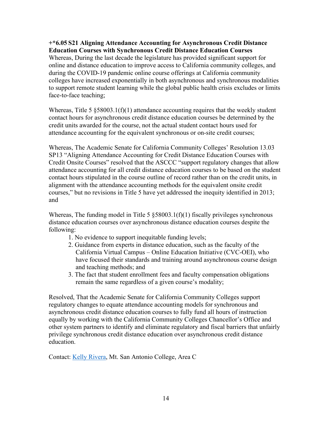#### <span id="page-14-0"></span>**+\*6.05 S21 Aligning Attendance Accounting for Asynchronous Credit Distance Education Courses with Synchronous Credit Distance Education Courses**

Whereas, During the last decade the legislature has provided significant support for online and distance education to improve access to California community colleges, and during the COVID-19 pandemic online course offerings at California community colleges have increased exponentially in both asynchronous and synchronous modalities to support remote student learning while the global public health crisis excludes or limits face-to-face teaching;

Whereas, Title 5 § 58003.1(f)(1) attendance accounting requires that the weekly student contact hours for asynchronous credit distance education courses be determined by the credit units awarded for the course, not the actual student contact hours used for attendance accounting for the equivalent synchronous or on-site credit courses;

Whereas, The Academic Senate for California Community Colleges' Resolution 13.03 SP13 "Aligning Attendance Accounting for Credit Distance Education Courses with Credit Onsite Courses" resolved that the ASCCC "support regulatory changes that allow attendance accounting for all credit distance education courses to be based on the student contact hours stipulated in the course outline of record rather than on the credit units, in alignment with the attendance accounting methods for the equivalent onsite credit courses," but no revisions in Title 5 have yet addressed the inequity identified in 2013; and

Whereas, The funding model in Title 5  $\S 58003.1(f)(1)$  fiscally privileges synchronous distance education courses over asynchronous distance education courses despite the following:

- 1. No evidence to support inequitable funding levels;
- 2. Guidance from experts in distance education, such as the faculty of the California Virtual Campus – Online Education Initiative (CVC-OEI), who have focused their standards and training around asynchronous course design and teaching methods; and
- 3. The fact that student enrollment fees and faculty compensation obligations remain the same regardless of a given course's modality;

Resolved, That the Academic Senate for California Community Colleges support regulatory changes to equate attendance accounting models for synchronous and asynchronous credit distance education courses to fully fund all hours of instruction equally by working with the California Community Colleges Chancellor's Office and other system partners to identify and eliminate regulatory and fiscal barriers that unfairly privilege synchronous credit distance education over asynchronous credit distance education.

Contact: [Kelly Rivera,](mailto:krivera32@mtsac.edu) Mt. San Antonio College, Area C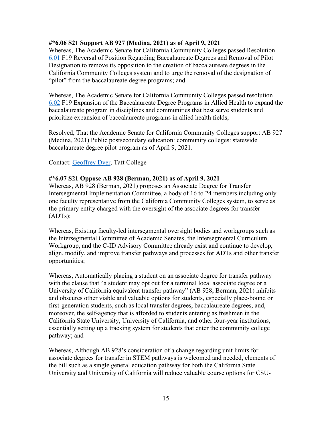#### <span id="page-15-0"></span>**#\*6.06 S21 Support AB 927 (Medina, 2021) as of April 9, 2021**

Whereas, The Academic Senate for California Community Colleges passed Resolution [6.01](https://www.asccc.org/resolutions/reversal-position-regarding-baccalaureate-degrees-and-removal-pilot-designation) F19 Reversal of Position Regarding Baccalaureate Degrees and Removal of Pilot Designation to remove its opposition to the creation of baccalaureate degrees in the California Community Colleges system and to urge the removal of the designation of "pilot" from the baccalaureate degree programs; and

Whereas, The Academic Senate for California Community Colleges passed resolution [6.02](https://www.asccc.org/resolutions/expansion-baccalaureate-degree-programs-allied-health) F19 Expansion of the Baccalaureate Degree Programs in Allied Health to expand the baccalaureate program in disciplines and communities that best serve students and prioritize expansion of baccalaureate programs in allied health fields;

Resolved, That the Academic Senate for California Community Colleges support AB 927 (Medina, 2021) Public postsecondary education: community colleges: statewide baccalaureate degree pilot program as of April 9, 2021.

Contact: [Geoffrey Dyer,](mailto:GDyer@taftcollege.edu) Taft College

#### <span id="page-15-1"></span>**#\*6.07 S21 Oppose AB 928 (Berman, 2021) as of April 9, 2021**

Whereas, AB 928 (Berman, 2021) proposes an Associate Degree for Transfer Intersegmental Implementation Committee, a body of 16 to 24 members including only one faculty representative from the California Community Colleges system, to serve as the primary entity charged with the oversight of the associate degrees for transfer (ADTs):

Whereas, Existing faculty-led intersegmental oversight bodies and workgroups such as the Intersegmental Committee of Academic Senates, the Intersegmental Curriculum Workgroup, and the C-ID Advisory Committee already exist and continue to develop, align, modify, and improve transfer pathways and processes for ADTs and other transfer opportunities;

Whereas, Automatically placing a student on an associate degree for transfer pathway with the clause that "a student may opt out for a terminal local associate degree or a University of California equivalent transfer pathway" (AB 928, Berman, 2021) inhibits and obscures other viable and valuable options for students, especially place-bound or first-generation students, such as local transfer degrees, baccalaureate degrees, and, moreover, the self-agency that is afforded to students entering as freshmen in the California State University, University of California, and other four-year institutions, essentially setting up a tracking system for students that enter the community college pathway; and

Whereas, Although AB 928's consideration of a change regarding unit limits for associate degrees for transfer in STEM pathways is welcomed and needed, elements of the bill such as a single general education pathway for both the California State University and University of California will reduce valuable course options for CSU-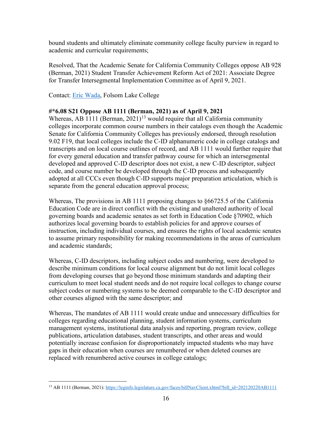bound students and ultimately eliminate community college faculty purview in regard to academic and curricular requirements;

Resolved, That the Academic Senate for California Community Colleges oppose AB 928 (Berman, 2021) Student Transfer Achievement Reform Act of 2021: Associate Degree for Transfer Intersegmental Implementation Committee as of April 9, 2021.

Contact: [Eric Wada,](mailto:Eric.Wada@flc.losrios.edu) Folsom Lake College

#### <span id="page-16-0"></span>**#\*6.08 S21 Oppose AB 1111 (Berman, 2021) as of April 9, 2021**

Whereas, AB 1111 (Berman,  $2021$ )<sup>[13](#page-16-1)</sup> would require that all California community colleges incorporate common course numbers in their catalogs even though the Academic Senate for California Community Colleges has previously endorsed, through resolution 9.02 F19, that local colleges include the C-ID alphanumeric code in college catalogs and transcripts and on local course outlines of record, and AB 1111 would further require that for every general education and transfer pathway course for which an intersegmental developed and approved C-ID descriptor does not exist, a new C-ID descriptor, subject code, and course number be developed through the C-ID process and subsequently adopted at all CCCs even though C-ID supports major preparation articulation, which is separate from the general education approval process;

Whereas, The provisions in AB 1111 proposing changes to §66725.5 of the California Education Code are in direct conflict with the existing and unaltered authority of local governing boards and academic senates as set forth in Education Code §70902, which authorizes local governing boards to establish policies for and approve courses of instruction, including individual courses, and ensures the rights of local academic senates to assume primary responsibility for making recommendations in the areas of curriculum and academic standards;

Whereas, C-ID descriptors, including subject codes and numbering, were developed to describe minimum conditions for local course alignment but do not limit local colleges from developing courses that go beyond those minimum standards and adapting their curriculum to meet local student needs and do not require local colleges to change course subject codes or numbering systems to be deemed comparable to the C-ID descriptor and other courses aligned with the same descriptor; and

Whereas, The mandates of AB 1111 would create undue and unnecessary difficulties for colleges regarding educational planning, student information systems, curriculum management systems, institutional data analysis and reporting, program review, college publications, articulation databases, student transcripts, and other areas and would potentially increase confusion for disproportionately impacted students who may have gaps in their education when courses are renumbered or when deleted courses are replaced with renumbered active courses in college catalogs;

<span id="page-16-1"></span><sup>&</sup>lt;sup>13</sup> AB 1111 (Berman, 2021): [https://leginfo.legislature.ca.gov/faces/billNavClient.xhtml?bill\\_id=202120220AB1111](https://leginfo.legislature.ca.gov/faces/billNavClient.xhtml?bill_id=202120220AB1111)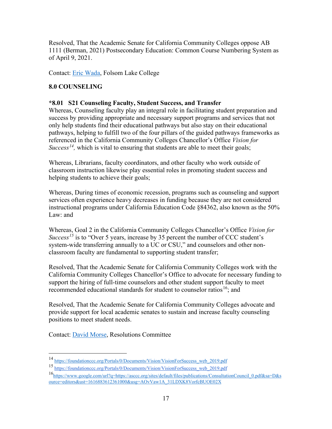Resolved, That the Academic Senate for California Community Colleges oppose AB 1111 (Berman, 2021) Postsecondary Education: Common Course Numbering System as of April 9, 2021.

<span id="page-17-0"></span>Contact: [Eric Wada,](mailto:Eric.Wada@flc.losrios.edu) Folsom Lake College

#### **8.0 COUNSELING**

#### <span id="page-17-1"></span>**\*8.01 S21 Counseling Faculty, Student Success, and Transfer**

Whereas, Counseling faculty play an integral role in facilitating student preparation and success by providing appropriate and necessary support programs and services that not only help students find their educational pathways but also stay on their educational pathways, helping to fulfill two of the four pillars of the guided pathways frameworks as referenced in the California Community Colleges Chancellor's Office *Vision for Success<sup>14</sup>*, which is vital to ensuring that students are able to meet their goals;

Whereas, Librarians, faculty coordinators, and other faculty who work outside of classroom instruction likewise play essential roles in promoting student success and helping students to achieve their goals;

Whereas, During times of economic recession, programs such as counseling and support services often experience heavy decreases in funding because they are not considered instructional programs under California Education Code §84362, also known as the 50% Law: and

Whereas, Goal 2 in the California Community Colleges Chancellor's Office *Vision for Success<sup>[15](#page-17-3)</sup>* is to "Over 5 years, increase by 35 percent the number of CCC student's system-wide transferring annually to a UC or CSU," and counselors and other nonclassroom faculty are fundamental to supporting student transfer;

Resolved, That the Academic Senate for California Community Colleges work with the California Community Colleges Chancellor's Office to advocate for necessary funding to support the hiring of full-time counselors and other student support faculty to meet recommended educational standards for student to counselor ratios<sup>16</sup>; and

Resolved, That the Academic Senate for California Community Colleges advocate and provide support for local academic senates to sustain and increase faculty counseling positions to meet student needs.

Contact: [David Morse,](mailto:dmorse@barstow.edu) Resolutions Committee

<span id="page-17-2"></span><sup>14</sup> [https://foundationccc.org/Portals/0/Documents/Vision/VisionForSuccess\\_web\\_2019.pdf](https://foundationccc.org/Portals/0/Documents/Vision/VisionForSuccess_web_2019.pdf)

<span id="page-17-3"></span><sup>15</sup> [https://foundationccc.org/Portals/0/Documents/Vision/VisionForSuccess\\_web\\_2019.pdf](https://foundationccc.org/Portals/0/Documents/Vision/VisionForSuccess_web_2019.pdf)

<span id="page-17-4"></span><sup>1</sup>[6https://www.google.com/url?q=https://asccc.org/sites/default/files/publications/ConsultationCouncil\\_0.pdf&sa=D&s](https://www.google.com/url?q=https://asccc.org/sites/default/files/publications/ConsultationCouncil_0.pdf&sa=D&source=editors&ust=1616883612361000&usg=AOvVaw1A_31LDXK8VorfcBUOE02X) [ource=editors&ust=1616883612361000&usg=AOvVaw1A\\_31LDXK8VorfcBUOE02X](https://www.google.com/url?q=https://asccc.org/sites/default/files/publications/ConsultationCouncil_0.pdf&sa=D&source=editors&ust=1616883612361000&usg=AOvVaw1A_31LDXK8VorfcBUOE02X)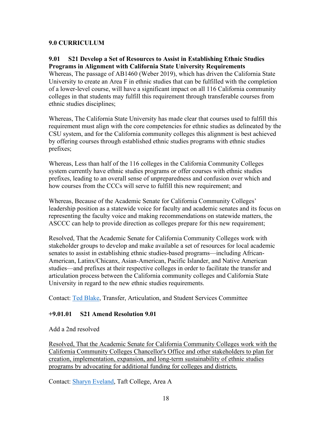#### <span id="page-18-0"></span>**9.0 CURRICULUM**

#### <span id="page-18-1"></span>**9.01 S21 Develop a Set of Resources to Assist in Establishing Ethnic Studies Programs in Alignment with California State University Requirements**

Whereas, The passage of AB1460 (Weber 2019), which has driven the California State University to create an Area F in ethnic studies that can be fulfilled with the completion of a lower-level course, will have a significant impact on all 116 California community colleges in that students may fulfill this requirement through transferable courses from ethnic studies disciplines;

Whereas, The California State University has made clear that courses used to fulfill this requirement must align with the core competencies for ethnic studies as delineated by the CSU system, and for the California community colleges this alignment is best achieved by offering courses through established ethnic studies programs with ethnic studies prefixes;

Whereas, Less than half of the 116 colleges in the California Community Colleges system currently have ethnic studies programs or offer courses with ethnic studies prefixes, leading to an overall sense of unpreparedness and confusion over which and how courses from the CCCs will serve to fulfill this new requirement; and

Whereas, Because of the Academic Senate for California Community Colleges' leadership position as a statewide voice for faculty and academic senates and its focus on representing the faculty voice and making recommendations on statewide matters, the ASCCC can help to provide direction as colleges prepare for this new requirement;

Resolved, That the Academic Senate for California Community Colleges work with stakeholder groups to develop and make available a set of resources for local academic senates to assist in establishing ethnic studies-based programs—including African-American, Latinx/Chicanx, Asian-American, Pacific Islander, and Native American studies—and prefixes at their respective colleges in order to facilitate the transfer and articulation process between the California community colleges and California State University in regard to the new ethnic studies requirements.

Contact: [Ted Blake,](mailto:tblake@msjc.edu) Transfer, Articulation, and Student Services Committee

#### <span id="page-18-2"></span>**+9.01.01 S21 Amend Resolution 9.01**

#### Add a 2nd resolved

Resolved, That the Academic Senate for California Community Colleges work with the California Community Colleges Chancellor's Office and other stakeholders to plan for creation, implementation, expansion, and long-term sustainability of ethnic studies programs by advocating for additional funding for colleges and districts.

Contact: [Sharyn Eveland,](mailto:seveland@taftcollege.edu) Taft College, Area A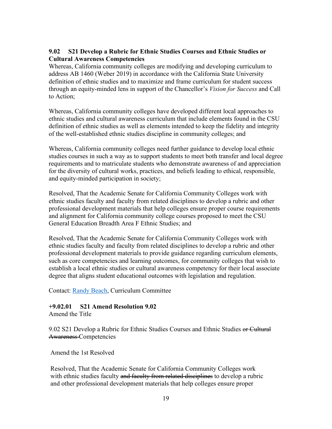#### <span id="page-19-0"></span>**9.02 S21 Develop a Rubric for Ethnic Studies Courses and Ethnic Studies or Cultural Awareness Competencies**

Whereas, California community colleges are modifying and developing curriculum to address AB 1460 (Weber 2019) in accordance with the California State University definition of ethnic studies and to maximize and frame curriculum for student success through an equity-minded lens in support of the Chancellor's *Vision for Success* and Call to Action;

Whereas, California community colleges have developed different local approaches to ethnic studies and cultural awareness curriculum that include elements found in the CSU definition of ethnic studies as well as elements intended to keep the fidelity and integrity of the well-established ethnic studies discipline in community colleges; and

Whereas, California community colleges need further guidance to develop local ethnic studies courses in such a way as to support students to meet both transfer and local degree requirements and to matriculate students who demonstrate awareness of and appreciation for the diversity of cultural works, practices, and beliefs leading to ethical, responsible, and equity-minded participation in society;

Resolved, That the Academic Senate for California Community Colleges work with ethnic studies faculty and faculty from related disciplines to develop a rubric and other professional development materials that help colleges ensure proper course requirements and alignment for California community college courses proposed to meet the CSU General Education Breadth Area F Ethnic Studies; and

Resolved, That the Academic Senate for California Community Colleges work with ethnic studies faculty and faculty from related disciplines to develop a rubric and other professional development materials to provide guidance regarding curriculum elements, such as core competencies and learning outcomes, for community colleges that wish to establish a local ethnic studies or cultural awareness competency for their local associate degree that aligns student educational outcomes with legislation and regulation.

Contact: [Randy Beach,](mailto:rbeach@swccd.edu) Curriculum Committee

#### <span id="page-19-1"></span>**+9.02.01 S21 Amend Resolution 9.02**

Amend the Title

9.02 S21 Develop a Rubric for Ethnic Studies Courses and Ethnic Studies or Cultural Awareness Competencies

Amend the 1st Resolved

Resolved, That the Academic Senate for California Community Colleges work with ethnic studies faculty and faculty from related disciplines to develop a rubric and other professional development materials that help colleges ensure proper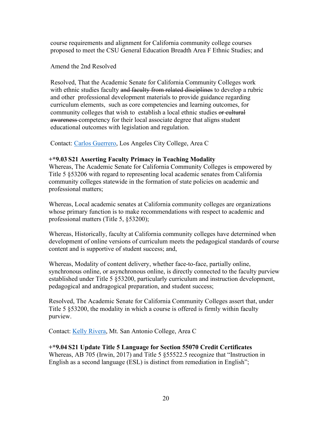course requirements and alignment for California community college courses proposed to meet the CSU General Education Breadth Area F Ethnic Studies; and

Amend the 2nd Resolved

Resolved, That the Academic Senate for California Community Colleges work with ethnic studies faculty and faculty from related disciplines to develop a rubric and other professional development materials to provide guidance regarding curriculum elements, such as core competencies and learning outcomes, for community colleges that wish to establish a local ethnic studies or cultural awareness competency for their local associate degree that aligns student educational outcomes with legislation and regulation.

Contact: [Carlos Guerrero,](mailto:guerrecr@lacitycollege.edu) Los Angeles City College, Area C

#### <span id="page-20-0"></span>**+\*9.03 S21 Asserting Faculty Primacy in Teaching Modality**

Whereas, The Academic Senate for California Community Colleges is empowered by Title 5 §53206 with regard to representing local academic senates from California community colleges statewide in the formation of state policies on academic and professional matters;

Whereas, Local academic senates at California community colleges are organizations whose primary function is to make recommendations with respect to academic and professional matters (Title 5, §53200);

Whereas, Historically, faculty at California community colleges have determined when development of online versions of curriculum meets the pedagogical standards of course content and is supportive of student success; and,

Whereas, Modality of content delivery, whether face-to-face, partially online, synchronous online, or asynchronous online, is directly connected to the faculty purview established under Title 5 §53200, particularly curriculum and instruction development, pedagogical and andragogical preparation, and student success;

Resolved, The Academic Senate for California Community Colleges assert that, under Title 5 §53200, the modality in which a course is offered is firmly within faculty purview.

Contact: [Kelly Rivera,](mailto:krivera32@mtsac.edu) Mt. San Antonio College, Area C

#### <span id="page-20-1"></span>**+\*9.04 S21 Update Title 5 Language for Section 55070 Credit Certificates**

Whereas, AB 705 (Irwin, 2017) and Title 5 §55522.5 recognize that "Instruction in English as a second language (ESL) is distinct from remediation in English";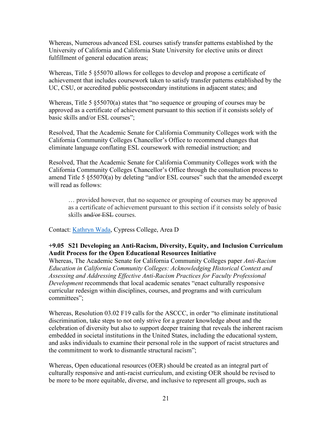Whereas, Numerous advanced ESL courses satisfy transfer patterns established by the University of California and California State University for elective units or direct fulfillment of general education areas;

Whereas, Title 5 §55070 allows for colleges to develop and propose a certificate of achievement that includes coursework taken to satisfy transfer patterns established by the UC, CSU, or accredited public postsecondary institutions in adjacent states; and

Whereas, Title 5 §55070(a) states that "no sequence or grouping of courses may be approved as a certificate of achievement pursuant to this section if it consists solely of basic skills and/or ESL courses";

Resolved, That the Academic Senate for California Community Colleges work with the California Community Colleges Chancellor's Office to recommend changes that eliminate language conflating ESL coursework with remedial instruction; and

Resolved, That the Academic Senate for California Community Colleges work with the California Community Colleges Chancellor's Office through the consultation process to amend Title 5 §55070(a) by deleting "and/or ESL courses" such that the amended excerpt will read as follows:

… provided however, that no sequence or grouping of courses may be approved as a certificate of achievement pursuant to this section if it consists solely of basic skills and/or ESL courses.

Contact: [Kathryn Wada,](mailto:kwada@cypresscollege.edu) Cypress College, Area D

#### <span id="page-21-0"></span>**+9.05 S21 Developing an Anti-Racism, Diversity, Equity, and Inclusion Curriculum Audit Process for the Open Educational Resources Initiative**

Whereas, The Academic Senate for California Community Colleges paper *Anti-Racism Education in California Community Colleges: Acknowledging Historical Context and Assessing and Addressing Effective Anti-Racism Practices for Faculty Professional Development* recommends that local academic senates "enact culturally responsive curricular redesign within disciplines, courses, and programs and with curriculum committees";

Whereas, Resolution 03.02 F19 calls for the ASCCC, in order "to eliminate institutional discrimination, take steps to not only strive for a greater knowledge about and the celebration of diversity but also to support deeper training that reveals the inherent racism embedded in societal institutions in the United States, including the educational system, and asks individuals to examine their personal role in the support of racist structures and the commitment to work to dismantle structural racism";

Whereas, Open educational resources (OER) should be created as an integral part of culturally responsive and anti-racist curriculum, and existing OER should be revised to be more to be more equitable, diverse, and inclusive to represent all groups, such as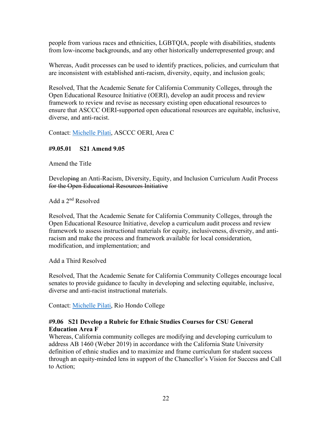people from various races and ethnicities, LGBTQIA, people with disabilities, students from low-income backgrounds, and any other historically underrepresented group; and

Whereas, Audit processes can be used to identify practices, policies, and curriculum that are inconsistent with established anti-racism, diversity, equity, and inclusion goals;

Resolved, That the Academic Senate for California Community Colleges, through the Open Educational Resource Initiative (OERI), develop an audit process and review framework to review and revise as necessary existing open educational resources to ensure that ASCCC OERI-supported open educational resources are equitable, inclusive, diverse, and anti-racist.

Contact: [Michelle Pilati,](mailto:Michelle%20Pilati%20%3cmpilati@asccc.org%3e) ASCCC OERI, Area C

#### <span id="page-22-0"></span>**#9.05.01 S21 Amend 9.05**

Amend the Title

Developing an Anti-Racism, Diversity, Equity, and Inclusion Curriculum Audit Process for the Open Educational Resources Initiative

Add a 2nd Resolved

Resolved, That the Academic Senate for California Community Colleges, through the Open Educational Resource Initiative, develop a curriculum audit process and review framework to assess instructional materials for equity, inclusiveness, diversity, and antiracism and make the process and framework available for local consideration, modification, and implementation; and

Add a Third Resolved

Resolved, That the Academic Senate for California Community Colleges encourage local senates to provide guidance to faculty in developing and selecting equitable, inclusive, diverse and anti-racist instructional materials.

Contact: [Michelle Pilati,](mailto:mpilati@asccc.org) Rio Hondo College

#### <span id="page-22-1"></span>**#9.06 S21 Develop a Rubric for Ethnic Studies Courses for CSU General Education Area F**

Whereas, California community colleges are modifying and developing curriculum to address AB 1460 (Weber 2019) in accordance with the California State University definition of ethnic studies and to maximize and frame curriculum for student success through an equity-minded lens in support of the Chancellor's Vision for Success and Call to Action;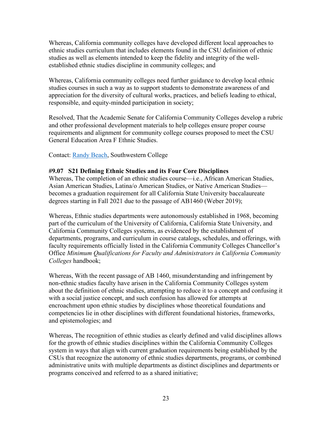Whereas, California community colleges have developed different local approaches to ethnic studies curriculum that includes elements found in the CSU definition of ethnic studies as well as elements intended to keep the fidelity and integrity of the wellestablished ethnic studies discipline in community colleges; and

Whereas, California community colleges need further guidance to develop local ethnic studies courses in such a way as to support students to demonstrate awareness of and appreciation for the diversity of cultural works, practices, and beliefs leading to ethical, responsible, and equity-minded participation in society;

Resolved, That the Academic Senate for California Community Colleges develop a rubric and other professional development materials to help colleges ensure proper course requirements and alignment for community college courses proposed to meet the CSU General Education Area F Ethnic Studies.

Contact: [Randy Beach,](mailto:Randy%20Beach%20%3crbeach@swccd.edu%3e) Southwestern College

#### <span id="page-23-0"></span>**#9.07 S21 Defining Ethnic Studies and its Four Core Disciplines**

Whereas, The completion of an ethnic studies course—i.e., African American Studies, Asian American Studies, Latina/o American Studies, or Native American Studies becomes a graduation requirement for all California State University baccalaureate degrees starting in Fall 2021 due to the passage of AB1460 (Weber 2019);

Whereas, Ethnic studies departments were autonomously established in 1968, becoming part of the curriculum of the University of California, California State University, and California Community Colleges systems, as evidenced by the establishment of departments, programs, and curriculum in course catalogs, schedules, and offerings, with faculty requirements officially listed in the California Community Colleges Chancellor's Office *Minimum Qualifications for Faculty and Administrators in California Community Colleges* handbook;

Whereas, With the recent passage of AB 1460, misunderstanding and infringement by non-ethnic studies faculty have arisen in the California Community Colleges system about the definition of ethnic studies, attempting to reduce it to a concept and confusing it with a social justice concept, and such confusion has allowed for attempts at encroachment upon ethnic studies by disciplines whose theoretical foundations and competencies lie in other disciplines with different foundational histories, frameworks, and epistemologies; and

Whereas, The recognition of ethnic studies as clearly defined and valid disciplines allows for the growth of ethnic studies disciplines within the California Community Colleges system in ways that align with current graduation requirements being established by the CSUs that recognize the autonomy of ethnic studies departments, programs, or combined administrative units with multiple departments as distinct disciplines and departments or programs conceived and referred to as a shared initiative;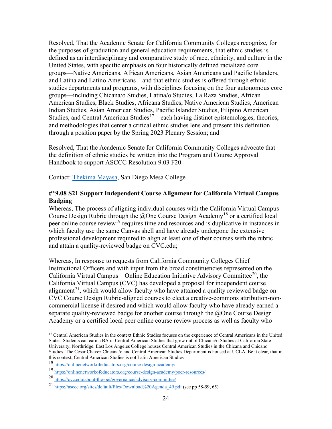Resolved, That the Academic Senate for California Community Colleges recognize, for the purposes of graduation and general education requirements, that ethnic studies is defined as an interdisciplinary and comparative study of race, ethnicity, and culture in the United States, with specific emphasis on four historically defined racialized core groups—Native Americans, African Americans, Asian Americans and Pacific Islanders, and Latina and Latino Americans—and that ethnic studies is offered through ethnic studies departments and programs, with disciplines focusing on the four autonomous core groups—including Chicana/o Studies, Latina/o Studies, La Raza Studies, African American Studies, Black Studies, Africana Studies, Native American Studies, American Indian Studies, Asian American Studies, Pacific Islander Studies, Filipino American Studies, and Central American Studies<sup>[17](#page-24-1)</sup>—each having distinct epistemologies, theories, and methodologies that center a critical ethnic studies lens and present this definition through a position paper by the Spring 2023 Plenary Session; and

Resolved, That the Academic Senate for California Community Colleges advocate that the definition of ethnic studies be written into the Program and Course Approval Handbook to support ASCCC Resolution 9.03 F20.

Contact: [Thekima Mayasa,](mailto:tmayasa@sdccd.edu) San Diego Mesa College

#### <span id="page-24-0"></span>**#\*9.08 S21 Support Independent Course Alignment for California Virtual Campus Badging**

Whereas, The process of aligning individual courses with the California Virtual Campus Course Design Rubric through the  $@$ One Course Design Academy<sup>[18](#page-24-2)</sup> or a certified local peer online course review<sup>[19](#page-24-3)</sup> requires time and resources and is duplicative in instances in which faculty use the same Canvas shell and have already undergone the extensive professional development required to align at least one of their courses with the rubric and attain a quality-reviewed badge on CVC.edu;

Whereas, In response to requests from California Community Colleges Chief Instructional Officers and with input from the broad constituencies represented on the California Virtual Campus – Online Education Initiative Advisory Committee<sup>[20](#page-24-4)</sup>, the California Virtual Campus (CVC) has developed a proposal for independent course alignment<sup>21</sup>, which would allow faculty who have attained a quality reviewed badge on CVC Course Design Rubric-aligned courses to elect a creative-commons attribution-noncommercial license if desired and which would allow faculty who have already earned a separate quality-reviewed badge for another course through the  $@$ One Course Design Academy or a certified local peer online course review process as well as faculty who

<span id="page-24-1"></span><sup>&</sup>lt;sup>17</sup> Central American Studies in the context Ethnic Studies focuses on the experience of Central Americans in the United States. Students can earn a BA in Central American Studies that grew out of Chicana/o Studies at California State University, Northridge. East Los Angeles College houses Central American Studies in the Chicana and Chicano Studies. The Cesar Chavez Chicana/o and Central American Studies Department is housed at UCLA. Be it clear, that in this context, Central American Studies is not Latin American Studies

<span id="page-24-2"></span><sup>18</sup> <https://onlinenetworkofeducators.org/course-design-academy/>

<span id="page-24-3"></span><sup>19</sup> <https://onlinenetworkofeducators.org/course-design-academy/pocr-resources/>

<span id="page-24-4"></span><sup>20</sup> <https://cvc.edu/about-the-oei/governance/advisory-committee/>

<span id="page-24-5"></span><sup>21</sup> [https://asccc.org/sites/default/files/Download%20Agenda\\_49.pdf](https://asccc.org/sites/default/files/Download%20Agenda_49.pdf) (see pp 58-59, 65)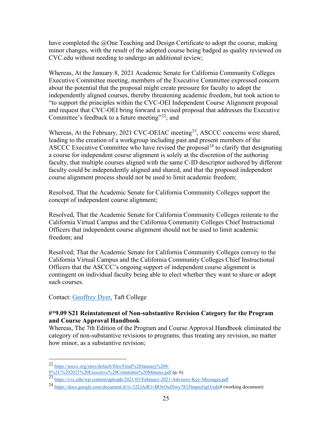have completed the  $\omega$ One Teaching and Design Certificate to adopt the course, making minor changes, with the result of the adopted course being badged as quality reviewed on CVC.edu without needing to undergo an additional review;

Whereas, At the January 8, 2021 Academic Senate for California Community Colleges Executive Committee meeting, members of the Executive Committee expressed concern about the potential that the proposal might create pressure for faculty to adopt the independently aligned courses, thereby threatening academic freedom, but took action to "to support the principles within the CVC-OEI Independent Course Alignment proposal and request that CVC-OEI bring forward a revised proposal that addresses the Executive Committee's feedback to a future meeting"<sup>[22](#page-25-1)</sup>; and

Whereas, At the February, 2021 CVC-OEIAC meeting<sup>23</sup>, ASCCC concerns were shared, leading to the creation of a workgroup including past and present members of the ASCCC Executive Committee who have revised the proposal<sup>[24](#page-25-3)</sup> to clarify that designating a course for independent course alignment is solely at the discretion of the authoring faculty, that multiple courses aligned with the same C-ID descriptor authored by different faculty could be independently aligned and shared, and that the proposed independent course alignment process should not be used to limit academic freedom;

Resolved, That the Academic Senate for California Community Colleges support the concept of independent course alignment;

Resolved, That the Academic Senate for California Community Colleges reiterate to the California Virtual Campus and the California Community Colleges Chief Instructional Officers that independent course alignment should not be used to limit academic freedom; and

Resolved; That the Academic Senate for California Community Colleges convey to the California Virtual Campus and the California Community Colleges Chief Instructional Officers that the ASCCC's ongoing support of independent course alignment is contingent on individual faculty being able to elect whether they want to share or adopt such courses.

Contact: [Geoffrey Dyer,](mailto:GDyer@taftcollege.edu) Taft College

#### <span id="page-25-0"></span>**#\*9.09 S21 Reinstatement of Non-substantive Revision Category for the Program and Course Approval Handbook**

Whereas, The 7th Edition of the Program and Course Approval Handbook eliminated the category of non-substantive revisions to programs, thus treating any revision, no matter how minor, as a substantive revision;

<span id="page-25-1"></span><sup>22</sup> [https://asccc.org/sites/default/files/Final%20January%208-](https://asccc.org/sites/default/files/Final%20January%208-9%2C%202021%20Executive%20Committee%20Minutes.pdf)

[<sup>9%2</sup>C%202021%20Executive%20Committee%20Minutes.pdf](https://asccc.org/sites/default/files/Final%20January%208-9%2C%202021%20Executive%20Committee%20Minutes.pdf) (p. 6)

<span id="page-25-2"></span><sup>23</sup> <https://cvc.edu/wp-content/uploads/2021/03/February-2021-Advisory-Key-Messages.pdf>

<span id="page-25-3"></span><sup>24</sup> [https://docs.google.com/document/d/1r-32LlAiR1vBOvOsZbwy7833lmpicGgO/edit#](https://docs.google.com/document/d/1r-32LlAiR1vBOvOsZbwy7833lmpicGgO/edit) (working document)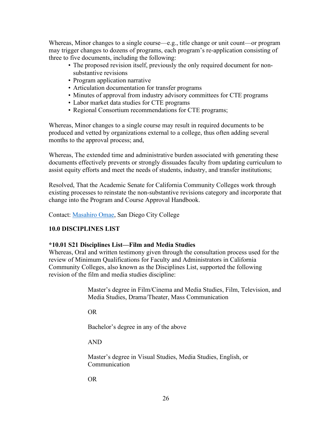Whereas, Minor changes to a single course—e.g., title change or unit count—or program may trigger changes to dozens of programs, each program's re-application consisting of three to five documents, including the following:

- The proposed revision itself, previously the only required document for nonsubstantive revisions
- Program application narrative
- Articulation documentation for transfer programs
- Minutes of approval from industry advisory committees for CTE programs
- Labor market data studies for CTE programs
- Regional Consortium recommendations for CTE programs;

Whereas, Minor changes to a single course may result in required documents to be produced and vetted by organizations external to a college, thus often adding several months to the approval process; and,

Whereas, The extended time and administrative burden associated with generating these documents effectively prevents or strongly dissuades faculty from updating curriculum to assist equity efforts and meet the needs of students, industry, and transfer institutions;

Resolved, That the Academic Senate for California Community Colleges work through existing processes to reinstate the non-substantive revisions category and incorporate that change into the Program and Course Approval Handbook.

Contact: [Masahiro Omae,](mailto:momae@sdccd.edu) San Diego City College

#### <span id="page-26-0"></span>**10.0 DISCIPLINES LIST**

#### <span id="page-26-1"></span>**\*10.01 S21 Disciplines List—Film and Media Studies**

Whereas, Oral and written testimony given through the consultation process used for the review of Minimum Qualifications for Faculty and Administrators in California Community Colleges, also known as the Disciplines List, supported the following revision of the film and media studies discipline:

> Master's degree in Film/Cinema and Media Studies, Film, Television, and Media Studies, Drama/Theater, Mass Communication

OR

Bachelor's degree in any of the above

AND

Master's degree in Visual Studies, Media Studies, English, or Communication

OR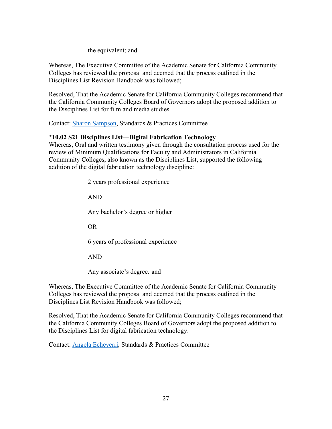#### the equivalent; and

Whereas, The Executive Committee of the Academic Senate for California Community Colleges has reviewed the proposal and deemed that the process outlined in the Disciplines List Revision Handbook was followed;

Resolved, That the Academic Senate for California Community Colleges recommend that the California Community Colleges Board of Governors adopt the proposed addition to the Disciplines List for film and media studies.

Contact: [Sharon Sampson,](mailto:sharon.sampson@gcccd.edu) Standards & Practices Committee

#### <span id="page-27-0"></span>**\*10.02 S21 Disciplines List—Digital Fabrication Technology**

Whereas, Oral and written testimony given through the consultation process used for the review of Minimum Qualifications for Faculty and Administrators in California Community Colleges, also known as the Disciplines List, supported the following addition of the digital fabrication technology discipline:

2 years professional experience

AND

Any bachelor's degree or higher

OR

6 years of professional experience

AND

Any associate's degree*;* and

Whereas, The Executive Committee of the Academic Senate for California Community Colleges has reviewed the proposal and deemed that the process outlined in the Disciplines List Revision Handbook was followed;

Resolved, That the Academic Senate for California Community Colleges recommend that the California Community Colleges Board of Governors adopt the proposed addition to the Disciplines List for digital fabrication technology.

Contact: [Angela Echeverri,](mailto:ECHEVEAC@email.laccd.edu) Standards & Practices Committee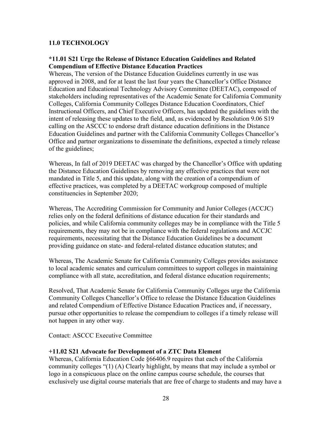#### <span id="page-28-0"></span>**11.0 TECHNOLOGY**

#### <span id="page-28-1"></span>**\*11.01 S21 Urge the Release of Distance Education Guidelines and Related Compendium of Effective Distance Education Practices**

Whereas, The version of the Distance Education Guidelines currently in use was approved in 2008, and for at least the last four years the Chancellor's Office Distance Education and Educational Technology Advisory Committee (DEETAC), composed of stakeholders including representatives of the Academic Senate for California Community Colleges, California Community Colleges Distance Education Coordinators, Chief Instructional Officers, and Chief Executive Officers, has updated the guidelines with the intent of releasing these updates to the field, and, as evidenced by Resolution 9.06 S19 calling on the ASCCC to endorse draft distance education definitions in the Distance Education Guidelines and partner with the California Community Colleges Chancellor's Office and partner organizations to disseminate the definitions, expected a timely release of the guidelines;

Whereas, In fall of 2019 DEETAC was charged by the Chancellor's Office with updating the Distance Education Guidelines by removing any effective practices that were not mandated in Title 5, and this update, along with the creation of a compendium of effective practices, was completed by a DEETAC workgroup composed of multiple constituencies in September 2020;

Whereas, The Accrediting Commission for Community and Junior Colleges (ACCJC) relies only on the federal definitions of distance education for their standards and policies, and while California community colleges may be in compliance with the Title 5 requirements, they may not be in compliance with the federal regulations and ACCJC requirements, necessitating that the Distance Education Guidelines be a document providing guidance on state- and federal-related distance education statutes; and

Whereas, The Academic Senate for California Community Colleges provides assistance to local academic senates and curriculum committees to support colleges in maintaining compliance with all state, accreditation, and federal distance education requirements;

Resolved, That Academic Senate for California Community Colleges urge the California Community Colleges Chancellor's Office to release the Distance Education Guidelines and related Compendium of Effective Distance Education Practices and, if necessary, pursue other opportunities to release the compendium to colleges if a timely release will not happen in any other way.

Contact: ASCCC Executive Committee

#### <span id="page-28-2"></span>**+11.02 S21 Advocate for Development of a ZTC Data Element**

Whereas, California Education Code §66406.9 requires that each of the California community colleges "(1) (A) Clearly highlight, by means that may include a symbol or logo in a conspicuous place on the online campus course schedule, the courses that exclusively use digital course materials that are free of charge to students and may have a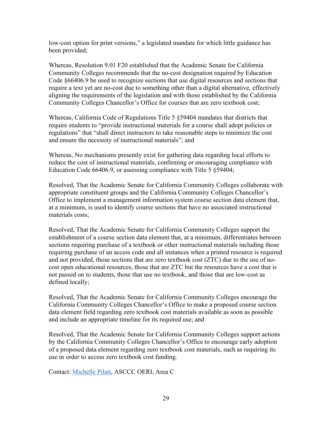low-cost option for print versions," a legislated mandate for which little guidance has been provided;

Whereas, Resolution 9.01 F20 established that the Academic Senate for California Community Colleges recommends that the no-cost designation required by Education Code §66406.9 be used to recognize sections that use digital resources and sections that require a text yet are no-cost due to something other than a digital alternative, effectively aligning the requirements of the legislation and with those established by the California Community Colleges Chancellor's Office for courses that are zero textbook cost;

Whereas, California Code of Regulations Title 5 §59404 mandates that districts that require students to "provide instructional materials for a course shall adopt policies or regulations" that "shall direct instructors to take reasonable steps to minimize the cost and ensure the necessity of instructional materials"; and

Whereas, No mechanisms presently exist for gathering data regarding local efforts to reduce the cost of instructional materials, confirming or encouraging compliance with Education Code 66406.9, or assessing compliance with Title 5 §59404;

Resolved, That the Academic Senate for California Community Colleges collaborate with appropriate constituent groups and the California Community Colleges Chancellor's Office to implement a management information system course section data element that, at a minimum, is used to identify course sections that have no associated instructional materials costs;

Resolved, That the Academic Senate for California Community Colleges support the establishment of a course section data element that, at a minimum, differentiates between sections requiring purchase of a textbook or other instructional materials including those requiring purchase of an access code and all instances when a printed resource is required and not provided, those sections that are zero textbook cost (ZTC) due to the use of nocost open educational resources, those that are ZTC but the resources have a cost that is not passed on to students, those that use no textbook, and those that are low-cost as defined locally;

Resolved, That the Academic Senate for California Community Colleges encourage the California Community Colleges Chancellor's Office to make a proposed course section data element field regarding zero textbook cost materials available as soon as possible and include an appropriate timeline for its required use; and

Resolved, That the Academic Senate for California Community Colleges support actions by the California Community Colleges Chancellor's Office to encourage early adoption of a proposed data element regarding zero textbook cost materials, such as requiring its use in order to access zero textbook cost funding.

Contact: [Michelle Pilati,](mailto:Michelle%20Pilati%20%3cmpilati@asccc.org%3e) ASCCC OERI, Area C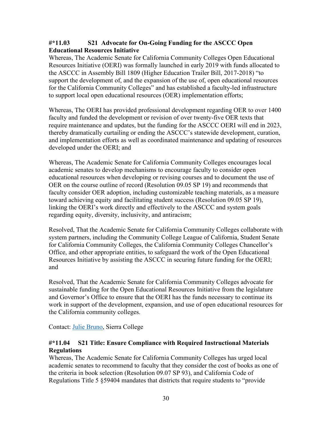#### <span id="page-30-0"></span>**#\*11.03 S21 Advocate for On-Going Funding for the ASCCC Open Educational Resources Initiative**

Whereas, The Academic Senate for California Community Colleges Open Educational Resources Initiative (OERI) was formally launched in early 2019 with funds allocated to the ASCCC in Assembly Bill 1809 (Higher Education Trailer Bill, 2017-2018) "to support the development of, and the expansion of the use of, open educational resources for the California Community Colleges" and has established a faculty-led infrastructure to support local open educational resources (OER) implementation efforts;

Whereas, The OERI has provided professional development regarding OER to over 1400 faculty and funded the development or revision of over twenty-five OER texts that require maintenance and updates, but the funding for the ASCCC OERI will end in 2023, thereby dramatically curtailing or ending the ASCCC's statewide development, curation, and implementation efforts as well as coordinated maintenance and updating of resources developed under the OERI; and

Whereas, The Academic Senate for California Community Colleges encourages local academic senates to develop mechanisms to encourage faculty to consider open educational resources when developing or revising courses and to document the use of OER on the course outline of record (Resolution 09.05 SP 19) and recommends that faculty consider OER adoption, including customizable teaching materials, as a measure toward achieving equity and facilitating student success (Resolution 09.05 SP 19), linking the OERI's work directly and effectively to the ASCCC and system goals regarding equity, diversity, inclusivity, and antiracism;

Resolved, That the Academic Senate for California Community Colleges collaborate with system partners, including the Community College League of California, Student Senate for California Community Colleges, the California Community Colleges Chancellor's Office, and other appropriate entities, to safeguard the work of the Open Educational Resources Initiative by assisting the ASCCC in securing future funding for the OERI; and

Resolved, That the Academic Senate for California Community Colleges advocate for sustainable funding for the Open Educational Resources Initiative from the legislature and Governor's Office to ensure that the OERI has the funds necessary to continue its work in support of the development, expansion, and use of open educational resources for the California community colleges.

Contact: [Julie Bruno,](mailto:jbruno@sierracollege.edu) Sierra College

#### <span id="page-30-1"></span>**#\*11.04 S21 Title: Ensure Compliance with Required Instructional Materials Regulations**

Whereas, The Academic Senate for California Community Colleges has urged local academic senates to recommend to faculty that they consider the cost of books as one of the criteria in book selection (Resolution 09.07 SP 93), and California Code of Regulations Title 5 §59404 mandates that districts that require students to "provide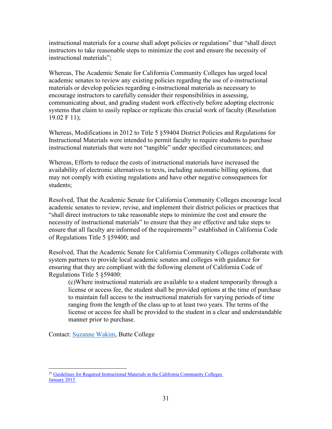instructional materials for a course shall adopt policies or regulations" that "shall direct instructors to take reasonable steps to minimize the cost and ensure the necessity of instructional materials";

Whereas, The Academic Senate for California Community Colleges has urged local academic senates to review any existing policies regarding the use of e-instructional materials or develop policies regarding e-instructional materials as necessary to encourage instructors to carefully consider their responsibilities in assessing, communicating about, and grading student work effectively before adopting electronic systems that claim to easily replace or replicate this crucial work of faculty (Resolution 19.02 F 11);

Whereas, Modifications in 2012 to Title 5 §59404 District Policies and Regulations for Instructional Materials were intended to permit faculty to require students to purchase instructional materials that were not "tangible" under specified circumstances; and

Whereas, Efforts to reduce the costs of instructional materials have increased the availability of electronic alternatives to texts, including automatic billing options, that may not comply with existing regulations and have other negative consequences for students;

Resolved, That the Academic Senate for California Community Colleges encourage local academic senates to review, revise, and implement their district policies or practices that "shall direct instructors to take reasonable steps to minimize the cost and ensure the necessity of instructional materials" to ensure that they are effective and take steps to ensure that all faculty are informed of the requirements<sup>[25](#page-31-0)</sup> established in California Code of Regulations Title 5 §59400; and

Resolved, That the Academic Senate for California Community Colleges collaborate with system partners to provide local academic senates and colleges with guidance for ensuring that they are compliant with the following element of California Code of Regulations Title 5 §59400:

(c)Where instructional materials are available to a student temporarily through a license or access fee, the student shall be provided options at the time of purchase to maintain full access to the instructional materials for varying periods of time ranging from the length of the class up to at least two years. The terms of the license or access fee shall be provided to the student in a clear and understandable manner prior to purchase.

Contact: [Suzanne Wakim,](mailto:wakimsu@butte.edu) Butte College

<span id="page-31-0"></span><sup>&</sup>lt;sup>25</sup> [Guidelines for Required Instructional Materials in the California Community Colleges](https://asccc-oeri.org/wp-content/uploads/2021/04/InstructionalMaterialsGuidelines12813pdf.pdf) [January 2013](https://asccc-oeri.org/wp-content/uploads/2021/04/InstructionalMaterialsGuidelines12813pdf.pdf)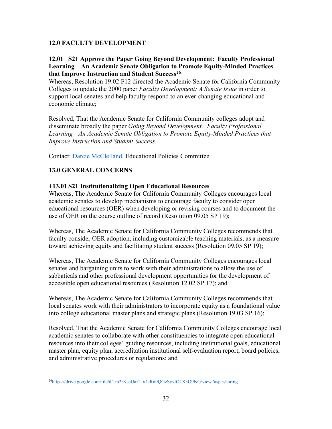#### <span id="page-32-0"></span>**12.0 FACULTY DEVELOPMENT**

#### <span id="page-32-1"></span>**12.01 S21 Approve the Paper Going Beyond Development: Faculty Professional Learning—An Academic Senate Obligation to Promote Equity-Minded Practices that Improve Instruction and Student Success[26](#page-32-4)**

Whereas, Resolution 19.02 F12 directed the Academic Senate for California Community Colleges to update the 2000 paper *Faculty Development: A Senate Issue* in order to support local senates and help faculty respond to an ever-changing educational and economic climate;

Resolved, That the Academic Senate for California Community colleges adopt and disseminate broadly the paper *Going Beyond Development: Faculty Professional Learning—An Academic Senate Obligation to Promote Equity-Minded Practices that Improve Instruction and Student Success*.

Contact: [Darcie McClelland,](mailto:dmcclelland@elcamino.edu) Educational Policies Committee

#### <span id="page-32-2"></span>**13.0 GENERAL CONCERNS**

#### <span id="page-32-3"></span>**+13.01 S21 Institutionalizing Open Educational Resources**

Whereas, The Academic Senate for California Community Colleges encourages local academic senates to develop mechanisms to encourage faculty to consider open educational resources (OER) when developing or revising courses and to document the use of OER on the course outline of record (Resolution 09.05 SP 19);

Whereas, The Academic Senate for California Community Colleges recommends that faculty consider OER adoption, including customizable teaching materials, as a measure toward achieving equity and facilitating student success (Resolution 09.05 SP 19);

Whereas, The Academic Senate for California Community Colleges encourages local senates and bargaining units to work with their administrations to allow the use of sabbaticals and other professional development opportunities for the development of accessible open educational resources (Resolution 12.02 SP 17); and

Whereas, The Academic Senate for California Community Colleges recommends that local senates work with their administrators to incorporate equity as a foundational value into college educational master plans and strategic plans (Resolution 19.03 SP 16);

Resolved, That the Academic Senate for California Community Colleges encourage local academic senates to collaborate with other constituencies to integrate open educational resources into their colleges' guiding resources, including institutional goals, educational master plan, equity plan, accreditation institutional self-evaluation report, board policies, and administrative procedures or regulations; and

<span id="page-32-4"></span><sup>2</sup>[6https://drive.google.com/file/d/1m2rKseUazTtx4sRn9QGzSyvtO4X5O9NG/view?usp=sharing](https://drive.google.com/file/d/1m2rKseUazTtx4sRn9QGzSyvtO4X5O9NG/view?usp=sharing)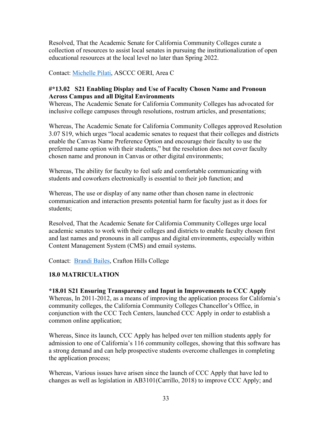Resolved, That the Academic Senate for California Community Colleges curate a collection of resources to assist local senates in pursuing the institutionalization of open educational resources at the local level no later than Spring 2022.

Contact: [Michelle Pilati,](mailto:Michelle%20Pilati%20%3cmpilati@asccc.org%3e) ASCCC OERI, Area C

#### <span id="page-33-0"></span>**#\*13.02 S21 Enabling Display and Use of Faculty Chosen Name and Pronoun Across Campus and all Digital Environments**

Whereas, The Academic Senate for California Community Colleges has advocated for inclusive college campuses through resolutions, rostrum articles, and presentations;

Whereas, The Academic Senate for California Community Colleges approved Resolution 3.07 S19, which urges "local academic senates to request that their colleges and districts enable the Canvas Name Preference Option and encourage their faculty to use the preferred name option with their students," but the resolution does not cover faculty chosen name and pronoun in Canvas or other digital environments;

Whereas, The ability for faculty to feel safe and comfortable communicating with students and coworkers electronically is essential to their job function; and

Whereas, The use or display of any name other than chosen name in electronic communication and interaction presents potential harm for faculty just as it does for students;

Resolved, That the Academic Senate for California Community Colleges urge local academic senates to work with their colleges and districts to enable faculty chosen first and last names and pronouns in all campus and digital environments, especially within Content Management System (CMS) and email systems.

Contact: [Brandi Bailes,](mailto:bbailes@craftonhills.edu) Crafton Hills College

#### <span id="page-33-1"></span>**18.0 MATRICULATION**

#### <span id="page-33-2"></span>**\*18.01 S21 Ensuring Transparency and Input in Improvements to CCC Apply**

Whereas, In 2011-2012, as a means of improving the application process for California's community colleges, the California Community Colleges Chancellor's Office, in conjunction with the CCC Tech Centers, launched CCC Apply in order to establish a common online application;

Whereas, Since its launch, CCC Apply has helped over ten million students apply for admission to one of California's 116 community colleges, showing that this software has a strong demand and can help prospective students overcome challenges in completing the application process;

Whereas, Various issues have arisen since the launch of CCC Apply that have led to changes as well as legislation in AB3101(Carrillo, 2018) to improve CCC Apply; and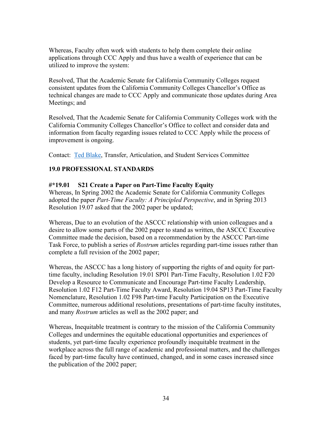Whereas, Faculty often work with students to help them complete their online applications through CCC Apply and thus have a wealth of experience that can be utilized to improve the system:

Resolved, That the Academic Senate for California Community Colleges request consistent updates from the California Community Colleges Chancellor's Office as technical changes are made to CCC Apply and communicate those updates during Area Meetings; and

Resolved, That the Academic Senate for California Community Colleges work with the California Community Colleges Chancellor's Office to collect and consider data and information from faculty regarding issues related to CCC Apply while the process of improvement is ongoing.

<span id="page-34-0"></span>Contact: [Ted Blake,](mailto:tblake@msjc.edu) Transfer, Articulation, and Student Services Committee

#### **19.0 PROFESSIONAL STANDARDS**

#### <span id="page-34-1"></span>**#\*19.01 S21 Create a Paper on Part-Time Faculty Equity**

Whereas, In Spring 2002 the Academic Senate for California Community Colleges adopted the paper *Part-Time Faculty: A Principled Perspective*, and in Spring 2013 Resolution 19.07 asked that the 2002 paper be updated;

Whereas, Due to an evolution of the ASCCC relationship with union colleagues and a desire to allow some parts of the 2002 paper to stand as written, the ASCCC Executive Committee made the decision, based on a recommendation by the ASCCC Part-time Task Force, to publish a series of *Rostrum* articles regarding part-time issues rather than complete a full revision of the 2002 paper;

Whereas, the ASCCC has a long history of supporting the rights of and equity for parttime faculty, including Resolution 19.01 SP01 Part-Time Faculty, Resolution 1.02 F20 Develop a Resource to Communicate and Encourage Part-time Faculty Leadership, Resolution 1.02 F12 Part-Time Faculty Award, Resolution 19.04 SP13 Part-Time Faculty Nomenclature, Resolution 1.02 F98 Part-time Faculty Participation on the Executive Committee, numerous additional resolutions, presentations of part-time faculty institutes, and many *Rostrum* articles as well as the 2002 paper; and

Whereas, Inequitable treatment is contrary to the mission of the California Community Colleges and undermines the equitable educational opportunities and experiences of students, yet part-time faculty experience profoundly inequitable treatment in the workplace across the full range of academic and professional matters, and the challenges faced by part-time faculty have continued, changed, and in some cases increased since the publication of the 2002 paper;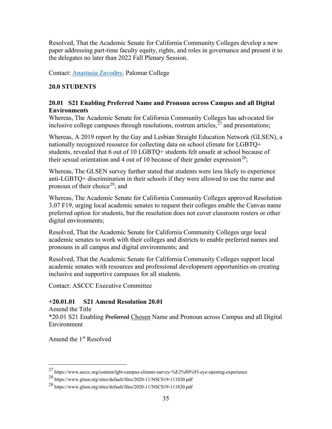Resolved, That the Academic Senate for California Community Colleges develop a new paper addressing part-time faculty equity, rights, and roles in governance and present it to the delegates no later than 2022 Fall Plenary Session.

<span id="page-35-0"></span>Contact: [Anastasia Zavodny,](mailto:azavodny@palomar.edu) Palomar College

#### **20.0 STUDENTS**

#### <span id="page-35-1"></span>**20.01 S21 Enabling Preferred Name and Pronoun across Campus and all Digital Environments**

Whereas, The Academic Senate for California Community Colleges has advocated for inclusive college campuses through resolutions, rostrum articles,  $27$  and presentations;

Whereas, A 2019 report by the Gay and Lesbian Straight Education Network (GLSEN), a nationally recognized resource for collecting data on school climate for LGBTQ+ students, revealed that 6 out of 10 LGBTQ+ students felt unsafe at school because of their sexual orientation and 4 out of 10 because of their gender expression<sup>28</sup>;

Whereas, The GLSEN survey further stated that students were less likely to experience anti-LGBTQ+ discrimination in their schools if they were allowed to use the name and pronoun of their choice<sup>29</sup>; and

Whereas, The Academic Senate for California Community Colleges approved Resolution 3.07 F19, urging local academic senates to request their colleges enable the Canvas name preferred option for students, but the resolution does not cover classroom rosters or other digital environments;

Resolved, That the Academic Senate for California Community Colleges urge local academic senates to work with their colleges and districts to enable preferred names and pronouns in all campus and digital environments; and

Resolved, That the Academic Senate for California Community Colleges support local academic senates with resources and professional development opportunities on creating inclusive and supportive campuses for all students.

Contact: ASCCC Executive Committee

#### <span id="page-35-2"></span>**+20.01.01 S21 Amend Resolution 20.01**

Amend the Title \*20.01 S21 Enabling Preferred Chosen Name and Pronoun across Campus and all Digital Environment

Amend the 1<sup>st</sup> Resolved

<span id="page-35-3"></span><sup>27</sup> https://www.asccc.org/content/lgbt-campus-climate-survey-%E2%80%93-eye-opening-experience

<span id="page-35-4"></span><sup>28</sup> https://www.glsen.org/sites/default/files/2020-11/NSCS19-111820.pdf

<span id="page-35-5"></span><sup>29</sup> https://www.glsen.org/sites/default/files/2020-11/NSCS19-111820.pdf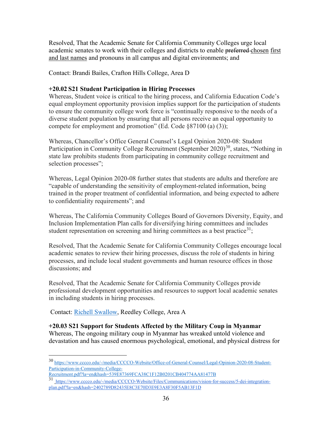Resolved, That the Academic Senate for California Community Colleges urge local academic senates to work with their colleges and districts to enable preferred chosen first and last names and pronouns in all campus and digital environments; and

Contact: Brandi Bailes, Crafton Hills College, Area D

#### <span id="page-36-0"></span>**+20.02 S21 Student Participation in Hiring Processes**

Whereas, Student voice is critical to the hiring process, and California Education Code's equal employment opportunity provision implies support for the participation of students to ensure the community college work force is "continually responsive to the needs of a diverse student population by ensuring that all persons receive an equal opportunity to compete for employment and promotion" (Ed. Code §87100 (a) (3));

Whereas, Chancellor's Office General Counsel's Legal Opinion 2020-08: Student Participation in Community College Recruitment (September 2020)<sup>30</sup>, states, "Nothing in state law prohibits students from participating in community college recruitment and selection processes";

Whereas, Legal Opinion 2020-08 further states that students are adults and therefore are "capable of understanding the sensitivity of employment-related information, being trained in the proper treatment of confidential information, and being expected to adhere to confidentiality requirements"; and

Whereas, The California Community Colleges Board of Governors Diversity, Equity, and Inclusion Implementation Plan calls for diversifying hiring committees and includes student representation on screening and hiring committees as a best practice<sup>[31](#page-36-3)</sup>;

Resolved, That the Academic Senate for California Community Colleges encourage local academic senates to review their hiring processes, discuss the role of students in hiring processes, and include local student governments and human resource offices in those discussions; and

Resolved, That the Academic Senate for California Community Colleges provide professional development opportunities and resources to support local academic senates in including students in hiring processes.

Contact: [Richell Swallow,](mailto:Richell.swallow@reedleycollege.edu) Reedley College, Area A

<span id="page-36-1"></span>**+20.03 S21 Support for Students Affected by the Military Coup in Myanmar** Whereas, The ongoing military coup in Myanmar has wreaked untold violence and devastation and has caused enormous psychological, emotional, and physical distress for

<span id="page-36-2"></span><sup>30</sup> [https://www.cccco.edu/-/media/CCCCO-Website/Office-of-General-Counsel/Legal-Opinion-2020-08-Student-](https://www.cccco.edu/-/media/CCCCO-Website/Office-of-General-Counsel/Legal-Opinion-2020-08-Student-Participation-in-Community-College-Recruitment.pdf?la=en&hash=539E87369FCA38C1F12B0201CB404774AA81477B)[Participation-in-Community-College-](https://www.cccco.edu/-/media/CCCCO-Website/Office-of-General-Counsel/Legal-Opinion-2020-08-Student-Participation-in-Community-College-Recruitment.pdf?la=en&hash=539E87369FCA38C1F12B0201CB404774AA81477B)

[Recruitment.pdf?la=en&hash=539E87369FCA38C1F12B0201CB404774AA81477B](https://www.cccco.edu/-/media/CCCCO-Website/Office-of-General-Counsel/Legal-Opinion-2020-08-Student-Participation-in-Community-College-Recruitment.pdf?la=en&hash=539E87369FCA38C1F12B0201CB404774AA81477B)

<span id="page-36-3"></span><sup>31</sup> [https://www.cccco.edu/-/media/CCCCO-Website/Files/Communications/vision-for-success/5-dei-integration](https://www.cccco.edu/-/media/CCCCO-Website/Files/Communications/vision-for-success/5-dei-integration-plan.pdf?la=en&hash=2402789D82435E8C3E70D3E9E3A8F30F5AB13F1D)[plan.pdf?la=en&hash=2402789D82435E8C3E70D3E9E3A8F30F5AB13F1D](https://www.cccco.edu/-/media/CCCCO-Website/Files/Communications/vision-for-success/5-dei-integration-plan.pdf?la=en&hash=2402789D82435E8C3E70D3E9E3A8F30F5AB13F1D)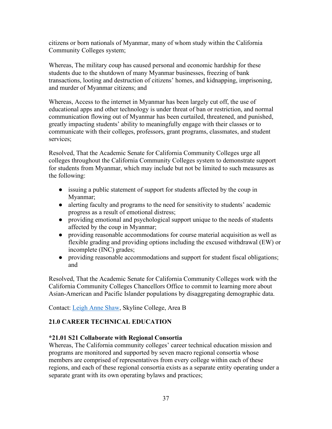citizens or born nationals of Myanmar, many of whom study within the California Community Colleges system;

Whereas, The military coup has caused personal and economic hardship for these students due to the shutdown of many Myanmar businesses, freezing of bank transactions, looting and destruction of citizens' homes, and kidnapping, imprisoning, and murder of Myanmar citizens; and

Whereas, Access to the internet in Myanmar has been largely cut off, the use of educational apps and other technology is under threat of ban or restriction, and normal communication flowing out of Myanmar has been curtailed, threatened, and punished, greatly impacting students' ability to meaningfully engage with their classes or to communicate with their colleges, professors, grant programs, classmates, and student services;

Resolved, That the Academic Senate for California Community Colleges urge all colleges throughout the California Community Colleges system to demonstrate support for students from Myanmar, which may include but not be limited to such measures as the following:

- issuing a public statement of support for students affected by the coup in Myanmar;
- alerting faculty and programs to the need for sensitivity to students' academic progress as a result of emotional distress;
- providing emotional and psychological support unique to the needs of students affected by the coup in Myanmar;
- providing reasonable accommodations for course material acquisition as well as flexible grading and providing options including the excused withdrawal (EW) or incomplete (INC) grades;
- providing reasonable accommodations and support for student fiscal obligations; and

Resolved, That the Academic Senate for California Community Colleges work with the California Community Colleges Chancellors Office to commit to learning more about Asian-American and Pacific Islander populations by disaggregating demographic data.

Contact: [Leigh Anne Shaw,](mailto:shawl@smccd.edu) Skyline College, Area B

#### <span id="page-37-0"></span>**21.0 CAREER TECHNICAL EDUCATION**

#### <span id="page-37-1"></span>**\*21.01 S21 Collaborate with Regional Consortia**

Whereas, The California community colleges' career technical education mission and programs are monitored and supported by seven macro regional consortia whose members are comprised of representatives from every college within each of these regions, and each of these regional consortia exists as a separate entity operating under a separate grant with its own operating bylaws and practices;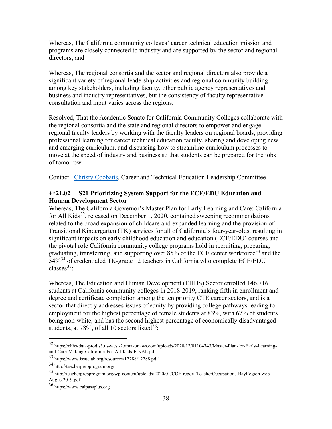Whereas, The California community colleges' career technical education mission and programs are closely connected to industry and are supported by the sector and regional directors; and

Whereas, The regional consortia and the sector and regional directors also provide a significant variety of regional leadership activities and regional community building among key stakeholders, including faculty, other public agency representatives and business and industry representatives, but the consistency of faculty representative consultation and input varies across the regions;

Resolved, That the Academic Senate for California Community Colleges collaborate with the regional consortia and the state and regional directors to empower and engage regional faculty leaders by working with the faculty leaders on regional boards, providing professional learning for career technical education faculty, sharing and developing new and emerging curriculum, and discussing how to streamline curriculum processes to move at the speed of industry and business so that students can be prepared for the jobs of tomorrow.

Contact: [Christy Coobatis,](mailto:christy@miracosta.edu) Career and Technical Education Leadership Committee

#### <span id="page-38-0"></span>**+\*21.02 S21 Prioritizing System Support for the ECE/EDU Education and Human Development Sector**

Whereas, The California Governor's Master Plan for Early Learning and Care: California for All Kids<sup>32</sup>, released on December 1, 2020, contained sweeping recommendations related to the broad expansion of childcare and expanded learning and the provision of Transitional Kindergarten (TK) services for all of California's four-year-olds, resulting in significant impacts on early childhood education and education (ECE/EDU) courses and the pivotal role California community college programs hold in recruiting, preparing, graduating, transferring, and supporting over  $85%$  of the ECE center workforce<sup>[33](#page-38-2)</sup> and the  $54\%$ <sup>[34](#page-38-3)</sup> of credentialed TK-grade 12 teachers in California who complete ECE/EDU classes $35$ :

Whereas, The Education and Human Development (EHDS) Sector enrolled 146,716 students at California community colleges in 2018-2019, ranking fifth in enrollment and degree and certificate completion among the ten priority CTE career sectors, and is a sector that directly addresses issues of equity by providing college pathways leading to employment for the highest percentage of female students at 83%, with 67% of students being non-white, and has the second highest percentage of economically disadvantaged students, at 78%, of all 10 sectors listed<sup>[36](#page-38-5)</sup>;

<span id="page-38-1"></span><sup>32</sup> https://chhs-data-prod.s3.us-west-2.amazonaws.com/uploads/2020/12/01104743/Master-Plan-for-Early-Learningand-Care-Making-California-For-All-Kids-FINAL.pdf

<span id="page-38-2"></span><sup>33</sup> https://www.issuelab.org/resources/12288/12288.pdf

<span id="page-38-3"></span><sup>34</sup> http://teacherprepprogram.org/

<span id="page-38-4"></span><sup>35</sup> http://teacherprepprogram.org/wp-content/uploads/2020/01/COE-report-TeacherOccupations-BayRegion-web-August2019.pdf

<span id="page-38-5"></span><sup>36</sup> https://www.calpassplus.org